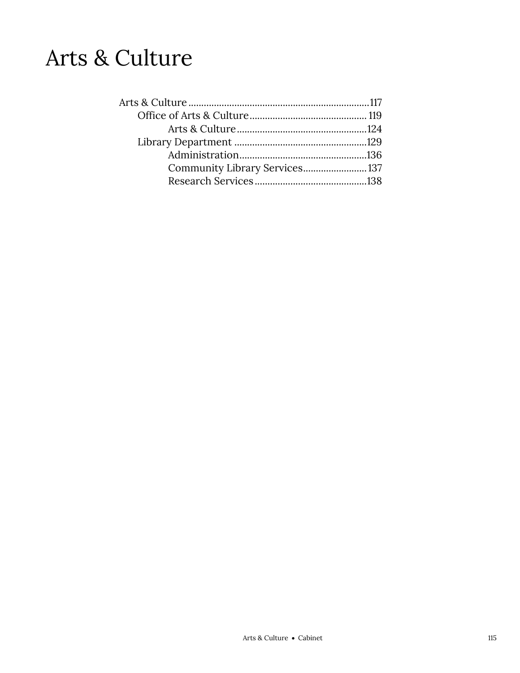# Arts & Culture

| Community Library Services 137 |  |
|--------------------------------|--|
|                                |  |
|                                |  |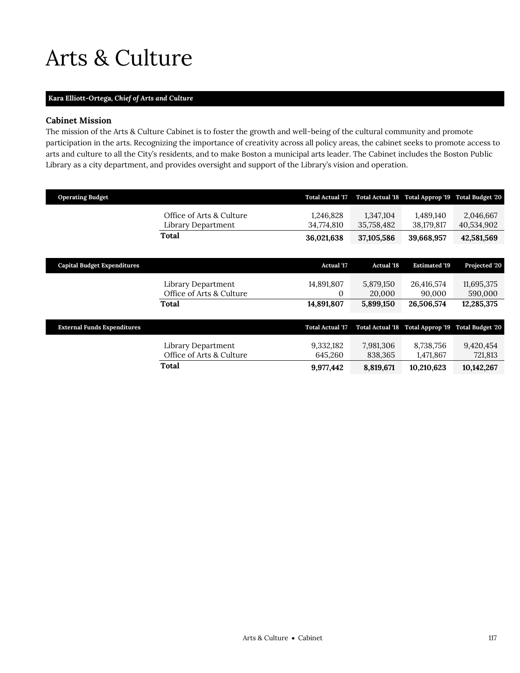# <span id="page-2-0"></span>Arts & Culture

# **Kara Elliott-Ortega,** *Chief of Arts and Culture*

# **Cabinet Mission**

The mission of the Arts & Culture Cabinet is to foster the growth and well-being of the cultural community and promote participation in the arts. Recognizing the importance of creativity across all policy areas, the cabinet seeks to promote access to arts and culture to all the City's residents, and to make Boston a municipal arts leader. The Cabinet includes the Boston Public Library as a city department, and provides oversight and support of the Library's vision and operation.

| <b>Operating Budget</b>            |                                                | <b>Total Actual '17</b> | <b>Total Actual '18</b> | Total Approp '19                  | <b>Total Budget '20</b> |
|------------------------------------|------------------------------------------------|-------------------------|-------------------------|-----------------------------------|-------------------------|
|                                    | Office of Arts & Culture<br>Library Department | 1,246,828<br>34,774,810 | 1,347,104<br>35,758,482 | 1,489,140<br>38,179,817           | 2,046,667<br>40,534,902 |
|                                    | Total                                          | 36,021,638              | 37,105,586              | 39,668,957                        | 42,581,569              |
|                                    |                                                |                         |                         |                                   |                         |
| <b>Capital Budget Expenditures</b> |                                                | <b>Actual '17</b>       | <b>Actual '18</b>       | <b>Estimated '19</b>              | Projected '20           |
|                                    | Library Department                             | 14,891,807              | 5,879,150               | 26,416,574                        | 11,695,375              |
|                                    | Office of Arts & Culture                       | 0                       | 20,000                  | 90,000                            | 590,000                 |
|                                    | Total                                          | 14,891,807              | 5,899,150               | 26,506,574                        | 12,285,375              |
|                                    |                                                |                         |                         |                                   |                         |
| <b>External Funds Expenditures</b> |                                                | <b>Total Actual '17</b> | <b>Total Actual '18</b> | Total Approp '19 Total Budget '20 |                         |
|                                    | Library Department<br>Office of Arts & Culture | 9,332,182<br>645,260    | 7,981,306<br>838,365    | 8,738,756<br>1,471,867            | 9,420,454<br>721,813    |
|                                    | Total                                          | 9,977,442               | 8,819,671               | 10,210,623                        | 10,142,267              |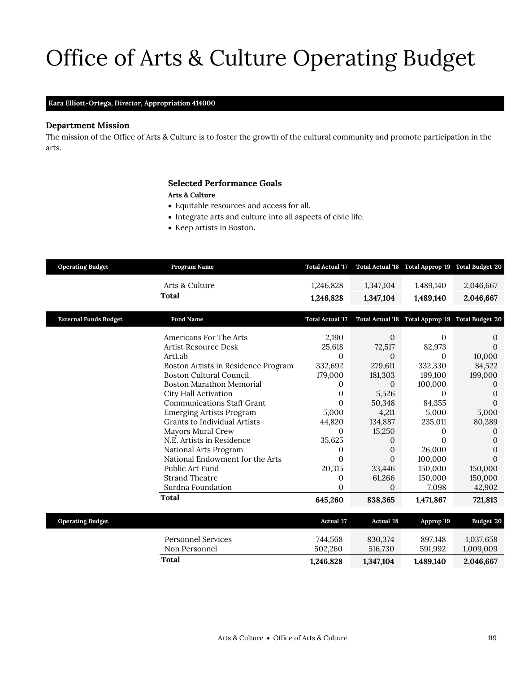# Office of Arts & Culture Operating Budget

## **Kara Elliott-Ortega,** *Director,* **Appropriation 414000**

## **Department Mission**

The mission of the Office of Arts & Culture is to foster the growth of the cultural community and promote participation in the arts.

# <span id="page-4-0"></span>**Selected Performance Goals**

### **Arts & Culture**

- Equitable resources and access for all.
- Integrate arts and culture into all aspects of civic life.
- Keep artists in Boston.

| <b>Operating Budget</b>      | Program Name                        | <b>Total Actual '17</b> |                   | Total Actual '18 Total Approp '19 Total Budget '20 |            |
|------------------------------|-------------------------------------|-------------------------|-------------------|----------------------------------------------------|------------|
|                              | Arts & Culture                      | 1,246,828               | 1,347,104         | 1,489,140                                          | 2,046,667  |
|                              | <b>Total</b>                        | 1,246,828               | 1,347,104         | 1,489,140                                          | 2,046,667  |
| <b>External Funds Budget</b> | <b>Fund Name</b>                    | <b>Total Actual '17</b> |                   | Total Actual '18 Total Approp '19 Total Budget '20 |            |
|                              | Americans For The Arts              | 2,190                   | $\mathbf{0}$      | $\Omega$                                           | $\Omega$   |
|                              | <b>Artist Resource Desk</b>         | 25,618                  | 72,517            | 82,973                                             | $\Omega$   |
|                              | ArtLab                              | $\Omega$                | $\Omega$          | $\Omega$                                           | 10,000     |
|                              | Boston Artists in Residence Program | 332,692                 | 279,611           | 332,330                                            | 84,522     |
|                              | <b>Boston Cultural Council</b>      | 179,000                 | 181,303           | 199,100                                            | 199,000    |
|                              | <b>Boston Marathon Memorial</b>     | 0                       | $\mathbf{0}$      | 100,000                                            | $\Omega$   |
|                              | City Hall Activation                | 0                       | 5,526             | $\Omega$                                           | 0          |
|                              | <b>Communications Staff Grant</b>   | 0                       | 50,348            | 84,355                                             | 0          |
|                              | <b>Emerging Artists Program</b>     | 5,000                   | 4,211             | 5,000                                              | 5,000      |
|                              | Grants to Individual Artists        | 44,820                  | 134,887           | 235,011                                            | 80,389     |
|                              | Mayors Mural Crew                   | $\theta$                | 15,250            | 0                                                  | 0          |
|                              | N.E. Artists in Residence           | 35,625                  | 0                 | $\Omega$                                           | 0          |
|                              | National Arts Program               | $\theta$                | $\theta$          | 26,000                                             | 0          |
|                              | National Endowment for the Arts     | $\Omega$                | $\Omega$          | 100,000                                            | $\Omega$   |
|                              | Public Art Fund                     | 20,315                  | 33,446            | 150,000                                            | 150,000    |
|                              | <b>Strand Theatre</b>               | 0                       | 61,266            | 150,000                                            | 150,000    |
|                              | Surdna Foundation                   | 0                       | $\Omega$          | 7,098                                              | 42,902     |
|                              | Total                               | 645,260                 | 838,365           | 1,471,867                                          | 721,813    |
|                              |                                     |                         |                   |                                                    |            |
| <b>Operating Budget</b>      |                                     | <b>Actual '17</b>       | <b>Actual '18</b> | Approp '19                                         | Budget '20 |
|                              | <b>Personnel Services</b>           | 744,568                 | 830,374           | 897,148                                            | 1,037,658  |
|                              | Non Personnel                       | 502,260                 | 516,730           | 591,992                                            | 1,009,009  |
|                              | Total                               | 1,246,828               | 1,347,104         | 1,489,140                                          | 2,046,667  |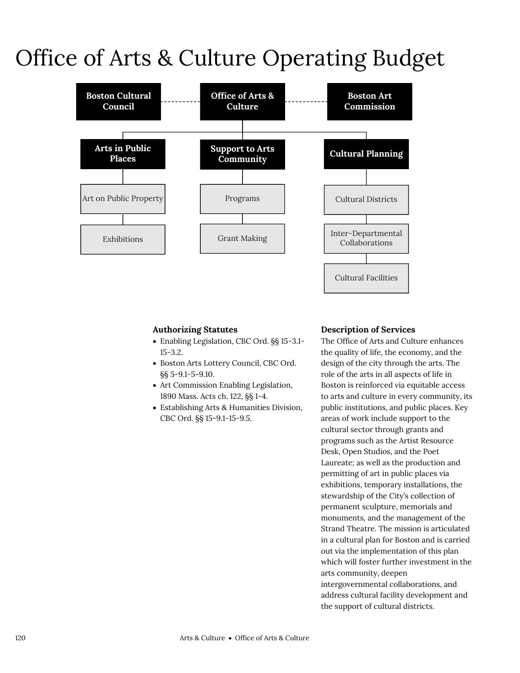# Office of Arts & Culture Operating Budget



# **Authorizing Statutes**

- Enabling Legislation, CBC Ord. §§ 15-3.1- 15-3.2.
- Boston Arts Lottery Council, CBC Ord. §§ 5-9.1-5-9.10.
- Art Commission Enabling Legislation, 1890 Mass. Acts ch. 122, §§ 1-4.
- Establishing Arts & Humanities Division, CBC Ord. §§ 15-9.1-15-9.5.

# **Description of Services**

The Office of Arts and Culture enhances the quality of life, the economy, and the design of the city through the arts. The role of the arts in all aspects of life in Boston is reinforced via equitable access to arts and culture in every community, its public institutions, and public places. Key areas of work include support to the cultural sector through grants and programs such as the Artist Resource Desk, Open Studios, and the Poet Laureate; as well as the production and permitting of art in public places via exhibitions, temporary installations, the stewardship of the City's collection of permanent sculpture, memorials and monuments, and the management of the Strand Theatre. The mission is articulated in a cultural plan for Boston and is carried out via the implementation of this plan which will foster further investment in the arts community, deepen intergovernmental collaborations, and address cultural facility development and the support of cultural districts.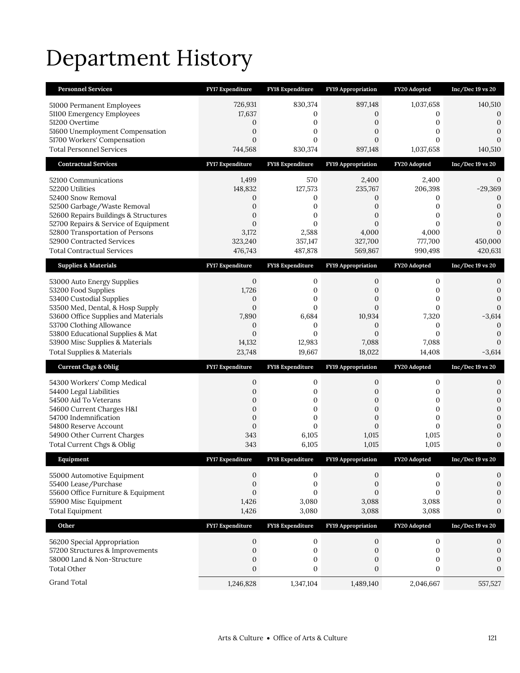# Department History

| <b>Personnel Services</b>                                           | <b>FY17 Expenditure</b>              | <b>FY18 Expenditure</b>              | <b>FY19 Appropriation</b> | FY20 Adopted                 | $Inc/Dec$ 19 vs 20                   |
|---------------------------------------------------------------------|--------------------------------------|--------------------------------------|---------------------------|------------------------------|--------------------------------------|
| 51000 Permanent Employees                                           | 726,931                              | 830,374                              | 897,148                   | 1,037,658                    | 140,510                              |
| 51100 Emergency Employees                                           | 17,637                               | 0                                    | 0                         | 0                            | 0                                    |
| 51200 Overtime                                                      | 0                                    | 0                                    | 0                         | 0                            | $\mathbf{0}$                         |
| 51600 Unemployment Compensation<br>51700 Workers' Compensation      | 0<br>$\mathbf{0}$                    | 0<br>0                               | 0<br>$\overline{0}$       | $\mathbf{0}$<br>$\mathbf{0}$ | $\mathbf{0}$<br>$\mathbf{0}$         |
| <b>Total Personnel Services</b>                                     | 744,568                              | 830,374                              | 897,148                   | 1,037,658                    | 140,510                              |
| <b>Contractual Services</b>                                         | <b>FY17 Expenditure</b>              | <b>FY18 Expenditure</b>              | <b>FY19 Appropriation</b> | FY20 Adopted                 | $Inc/Dec 19$ vs $20$                 |
| 52100 Communications                                                | 1,499                                | 570                                  | 2,400                     | 2,400                        | 0                                    |
| 52200 Utilities                                                     | 148,832                              | 127,573                              | 235,767                   | 206,398                      | $-29,369$                            |
| 52400 Snow Removal                                                  | 0                                    | 0                                    | 0                         | 0                            | 0                                    |
| 52500 Garbage/Waste Removal<br>52600 Repairs Buildings & Structures | 0<br>$\overline{0}$                  | $\boldsymbol{0}$<br>0                | 0<br>$\overline{0}$       | $\mathbf{0}$<br>$\mathbf{0}$ | $\boldsymbol{0}$<br>$\mathbf{0}$     |
| 52700 Repairs & Service of Equipment                                | $\mathbf{0}$                         | $\Omega$                             | $\overline{0}$            | $\Omega$                     | $\mathbf{0}$                         |
| 52800 Transportation of Persons                                     | 3,172                                | 2,588                                | 4,000                     | 4,000                        | $\Omega$                             |
| 52900 Contracted Services                                           | 323,240                              | 357,147                              | 327,700                   | 777,700                      | 450,000                              |
| <b>Total Contractual Services</b>                                   | 476,743                              | 487,878                              | 569,867                   | 990,498                      | 420,631                              |
| <b>Supplies &amp; Materials</b>                                     | <b>FY17 Expenditure</b>              | FY18 Expenditure                     | <b>FY19 Appropriation</b> | FY20 Adopted                 | $Inc/Dec 19$ vs $20$                 |
| 53000 Auto Energy Supplies                                          | 0                                    | 0                                    | 0                         | 0                            | 0                                    |
| 53200 Food Supplies<br>53400 Custodial Supplies                     | 1,726<br>0                           | 0<br>0                               | 0<br>0                    | 0<br>$\mathbf{0}$            | $\mathbf{0}$<br>$\mathbf{0}$         |
| 53500 Med, Dental, & Hosp Supply                                    | $\mathbf{0}$                         | $\overline{0}$                       | $\overline{0}$            | $\mathbf{0}$                 | $\mathbf{0}$                         |
| 53600 Office Supplies and Materials                                 | 7,890                                | 6,684                                | 10,934                    | 7,320                        | $-3,614$                             |
| 53700 Clothing Allowance                                            | $\mathbf{0}$                         | 0                                    | 0                         | 0                            | $\mathbf{0}$                         |
| 53800 Educational Supplies & Mat<br>53900 Misc Supplies & Materials | $\mathbf{0}$<br>14,132               | $\mathbf{0}$<br>12,983               | $\overline{0}$<br>7,088   | $\mathbf{0}$<br>7,088        | $\mathbf{0}$<br>$\Omega$             |
|                                                                     |                                      |                                      |                           |                              |                                      |
|                                                                     | 23,748                               | 19,667                               |                           |                              | $-3,614$                             |
| <b>Total Supplies &amp; Materials</b>                               |                                      |                                      | 18,022                    | 14,408                       |                                      |
| <b>Current Chgs &amp; Oblig</b>                                     | <b>FY17 Expenditure</b>              | <b>FY18 Expenditure</b>              | <b>FY19 Appropriation</b> | FY20 Adopted                 | $Inc/Dec 19$ vs $20$                 |
| 54300 Workers' Comp Medical                                         | 0                                    | 0                                    | 0                         | 0                            | 0                                    |
| 54400 Legal Liabilities<br>54500 Aid To Veterans                    | 0<br>0                               | 0<br>0                               | 0<br>0                    | 0<br>$\mathbf{0}$            | $\boldsymbol{0}$<br>$\boldsymbol{0}$ |
| 54600 Current Charges H&I                                           | $\overline{0}$                       | $\overline{0}$                       | $\overline{0}$            | $\mathbf{0}$                 | $\mathbf{0}$                         |
| 54700 Indemnification                                               | 0                                    | 0                                    | 0                         | 0                            | $\mathbf{0}$                         |
| 54800 Reserve Account                                               | $\boldsymbol{0}$                     | $\overline{0}$                       | $\overline{0}$            | $\mathbf{0}$                 | $\mathbf{0}$                         |
| 54900 Other Current Charges<br>Total Current Chgs & Oblig           | 343<br>343                           | 6,105<br>6,105                       | 1,015<br>1,015            | 1,015<br>1,015               | 0<br>$\mathbf{0}$                    |
| Equipment                                                           | <b>FY17 Expenditure</b>              | <b>FY18 Expenditure</b>              | FY19 Appropriation        | FY20 Adopted                 | Inc/Dec 19 vs 20                     |
|                                                                     | 0                                    | 0                                    | 0                         | 0                            | 0                                    |
| 55000 Automotive Equipment<br>55400 Lease/Purchase                  | $\boldsymbol{0}$                     | $\boldsymbol{0}$                     | $\boldsymbol{0}$          | $\boldsymbol{0}$             | $\boldsymbol{0}$                     |
| 55600 Office Furniture & Equipment                                  | $\mathbf{0}$                         | $\overline{0}$                       | $\overline{0}$            | $\mathbf{0}$                 | $\mathbf{0}$                         |
| 55900 Misc Equipment                                                | 1,426                                | 3,080                                | 3,088                     | 3,088                        | $\boldsymbol{0}$                     |
| <b>Total Equipment</b>                                              | 1,426                                | 3,080                                | 3,088                     | 3,088                        | $\mathbf{0}$                         |
| Other                                                               | FY17 Expenditure                     | FY18 Expenditure                     | FY19 Appropriation        | FY20 Adopted                 | $Inc/Dec 19$ vs $20$                 |
| 56200 Special Appropriation                                         | 0                                    | 0                                    | $\mathbf{0}$              | $\boldsymbol{0}$             | 0                                    |
| 57200 Structures & Improvements                                     | $\boldsymbol{0}$                     | $\boldsymbol{0}$                     | $\mathbf{0}$              | $\boldsymbol{0}$             | $\boldsymbol{0}$                     |
| 58000 Land & Non-Structure<br><b>Total Other</b>                    | $\boldsymbol{0}$<br>$\boldsymbol{0}$ | $\boldsymbol{0}$<br>$\boldsymbol{0}$ | 0<br>$\boldsymbol{0}$     | 0<br>$\boldsymbol{0}$        | $\mathbf{0}$<br>$\mathbf{0}$         |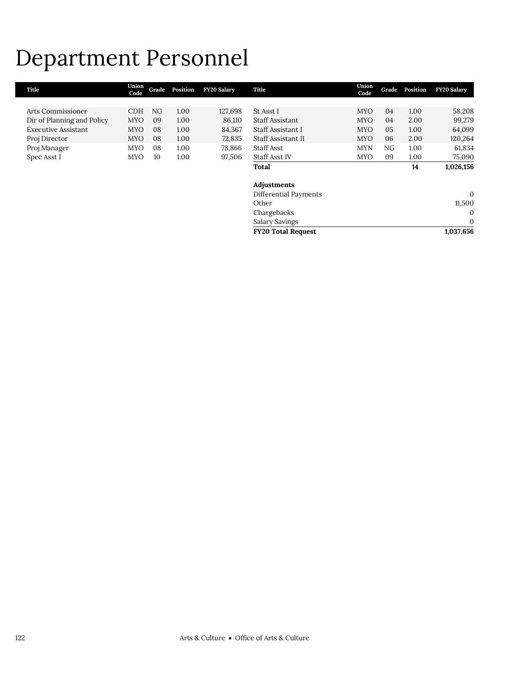# Department Personnel

| Title                      | Union<br>Code | Grade | Position | <b>FY20 Salary</b> | Title                     | Union<br>Code | Grade | Position | <b>FY20 Salary</b> |
|----------------------------|---------------|-------|----------|--------------------|---------------------------|---------------|-------|----------|--------------------|
|                            |               |       |          |                    |                           |               |       |          |                    |
| Arts Commissioner          | <b>CDH</b>    | NG.   | 1.00     | 127,698            | St Asst I                 | <b>MYO</b>    | 04    | 1.00     | 58,208             |
| Dir of Planning and Policy | <b>MYO</b>    | 09    | 1.00     | 86,110             | <b>Staff Assistant</b>    | <b>MYO</b>    | 04    | 2.00     | 99,279             |
| <b>Executive Assistant</b> | <b>MYO</b>    | 08    | 1.00     | 84,367             | Staff Assistant I         | <b>MYO</b>    | 05    | 1.00     | 64,099             |
| Proj Director              | <b>MYO</b>    | 08    | 1.00     | 72,835             | Staff Assistant II        | <b>MYO</b>    | 06    | 2.00     | 120,264            |
| Proj Manager               | <b>MYO</b>    | 08    | 1.00     | 78,866             | Staff Asst                | <b>MYN</b>    | NG    | 1.00     | 61,834             |
| Spec Asst I                | <b>MYO</b>    | 10    | 1.00     | 97,506             | <b>Staff Asst IV</b>      | <b>MYO</b>    | 09    | 1.00     | 75,090             |
|                            |               |       |          |                    | Total                     |               |       | 14       | 1,026,156          |
|                            |               |       |          |                    |                           |               |       |          |                    |
|                            |               |       |          |                    | Adjustments               |               |       |          |                    |
|                            |               |       |          |                    | Differential Payments     |               |       |          | $\mathbf{0}$       |
|                            |               |       |          |                    | Other                     |               |       |          | 11,500             |
|                            |               |       |          |                    | Chargebacks               |               |       |          | $\theta$           |
|                            |               |       |          |                    | <b>Salary Savings</b>     |               |       |          | $\mathbf 0$        |
|                            |               |       |          |                    | <b>FY20 Total Request</b> |               |       |          | 1,037,656          |
|                            |               |       |          |                    |                           |               |       |          |                    |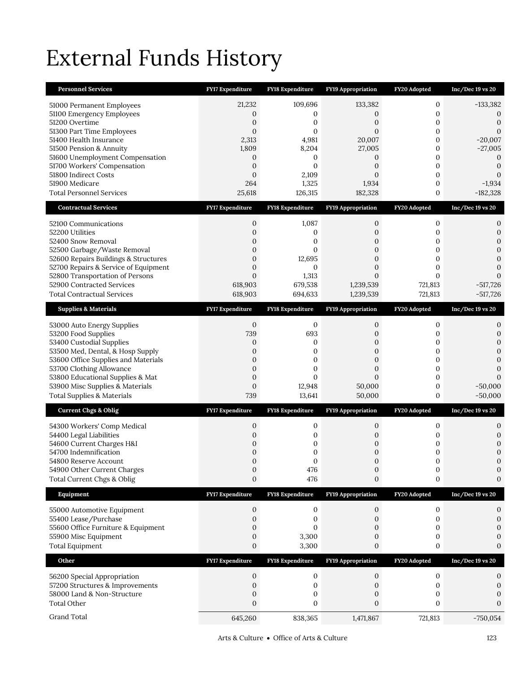# External Funds History

| <b>Personnel Services</b>                                               | FY17 Expenditure                   | FY18 Expenditure        | FY19 Appropriation               | FY20 Adopted            | Inc/Dec 19 vs 20                   |
|-------------------------------------------------------------------------|------------------------------------|-------------------------|----------------------------------|-------------------------|------------------------------------|
| 51000 Permanent Employees                                               | 21,232                             | 109,696                 | 133,382                          | $\mathbf{0}$            | $-133,382$                         |
| 51100 Emergency Employees                                               | 0                                  | 0                       | 0                                | $\mathbf{0}$            | 0                                  |
| 51200 Overtime                                                          | 0                                  | 0                       | 0                                | 0                       | $\mathbf{0}$                       |
| 51300 Part Time Employees<br>51400 Health Insurance                     | $\mathbf{0}$<br>2,313              | $\mathbf{0}$<br>4,981   | $\mathbf{0}$<br>20,007           | 0<br>0                  | $\mathbf{0}$<br>$-20,007$          |
| 51500 Pension & Annuity                                                 | 1,809                              | 8,204                   | 27,005                           | 0                       | $-27,005$                          |
| 51600 Unemployment Compensation                                         | 0                                  | 0                       | 0                                | 0                       | 0                                  |
| 51700 Workers' Compensation<br>51800 Indirect Costs                     | $\overline{0}$<br>$\boldsymbol{0}$ | $\mathbf{0}$<br>2,109   | $\overline{0}$<br>$\overline{0}$ | 0<br>$\mathbf{0}$       | $\boldsymbol{0}$<br>$\Omega$       |
| 51900 Medicare                                                          | 264                                | 1,325                   | 1,934                            | 0                       | $-1,934$                           |
| <b>Total Personnel Services</b>                                         | 25,618                             | 126,315                 | 182,328                          | 0                       | $-182,328$                         |
| <b>Contractual Services</b>                                             | <b>FY17 Expenditure</b>            | <b>FY18 Expenditure</b> | <b>FY19 Appropriation</b>        | FY20 Adopted            | $Inc/Dec 19$ vs 20                 |
| 52100 Communications                                                    | 0                                  | 1,087                   | 0                                | $\mathbf{0}$            | 0                                  |
| 52200 Utilities                                                         | $\overline{0}$                     | 0                       | 0                                | $\mathbf{0}$            | 0                                  |
| 52400 Snow Removal<br>52500 Garbage/Waste Removal                       | 0<br>$\mathbf{0}$                  | 0<br>$\mathbf{0}$       | 0<br>0                           | 0<br>0                  | $\mathbf{0}$<br>$\mathbf{0}$       |
| 52600 Repairs Buildings & Structures                                    | $\mathbf{0}$                       | 12,695                  | $\overline{0}$                   | 0                       | $\boldsymbol{0}$                   |
| 52700 Repairs & Service of Equipment                                    | $\overline{0}$                     | 0                       | $\overline{0}$                   | $\mathbf{0}$            | $\Omega$                           |
| 52800 Transportation of Persons<br>52900 Contracted Services            | $\overline{0}$<br>618,903          | 1,313<br>679,538        | $\mathbf{0}$<br>1,239,539        | $\mathbf{0}$<br>721,813 | $\Omega$<br>$-517,726$             |
| <b>Total Contractual Services</b>                                       | 618,903                            | 694,633                 | 1,239,539                        | 721,813                 | $-517,726$                         |
| <b>Supplies &amp; Materials</b>                                         | <b>FY17 Expenditure</b>            | <b>FY18 Expenditure</b> | FY19 Appropriation               | FY20 Adopted            | $Inc/Dec 19$ vs 20                 |
| 53000 Auto Energy Supplies                                              | $\mathbf{0}$                       | 0                       | 0                                | $\boldsymbol{0}$        | 0                                  |
| 53200 Food Supplies                                                     | 739                                | 693                     | 0                                | 0                       | $\mathbf{0}$                       |
| 53400 Custodial Supplies                                                | 0                                  | 0                       | 0                                | 0                       | $\mathbf{0}$                       |
| 53500 Med, Dental, & Hosp Supply<br>53600 Office Supplies and Materials | 0<br>$\overline{0}$                | 0<br>0                  | $\overline{0}$<br>$\mathbf{0}$   | 0<br>0                  | $\overline{0}$<br>$\boldsymbol{0}$ |
| 53700 Clothing Allowance                                                | $\mathbf{0}$                       | 0                       | 0                                | $\mathbf{0}$            | $\mathbf{0}$                       |
| 53800 Educational Supplies & Mat                                        | $\mathbf{0}$                       | $\Omega$                | $\overline{0}$                   | 0                       | $\Omega$                           |
| 53900 Misc Supplies & Materials                                         | 0                                  | 12,948                  | 50,000                           | $\boldsymbol{0}$        | $-50,000$                          |
| <b>Total Supplies &amp; Materials</b>                                   | 739                                | 13,641                  | 50,000                           | 0                       | $-50,000$                          |
| <b>Current Chgs &amp; Oblig</b>                                         | <b>FY17 Expenditure</b>            | <b>FY18 Expenditure</b> | <b>FY19 Appropriation</b>        | FY20 Adopted            | $Inc/Dec 19$ vs $20$               |
| 54300 Workers' Comp Medical                                             | 0                                  | 0                       | 0                                | 0                       | 0                                  |
| 54400 Legal Liabilities<br>54600 Current Charges H&I                    | 0<br>0                             | 0<br>0                  | 0<br>0                           | 0<br>0                  | $\mathbf{0}$<br>$\mathbf{0}$       |
| 54700 Indemnification                                                   | $\mathbf{0}$                       | 0                       | 0                                | 0                       | $\boldsymbol{0}$                   |
| 54800 Reserve Account                                                   | $\Omega$                           | $\Omega$                | $\Omega$                         | $\Omega$                | $\Omega$                           |
| 54900 Other Current Charges<br>Total Current Chgs & Oblig               | 0<br>$\boldsymbol{0}$              | 476<br>476              | 0<br>0                           | $\boldsymbol{0}$<br>0   | 0<br>0                             |
| Equipment                                                               | FY17 Expenditure                   | FY18 Expenditure        | FY19 Appropriation               | FY20 Adopted            | $Inc/Dec 19$ vs $20$               |
|                                                                         | $\boldsymbol{0}$                   | $\boldsymbol{0}$        | $\boldsymbol{0}$                 | $\boldsymbol{0}$        | 0                                  |
| 55000 Automotive Equipment<br>55400 Lease/Purchase                      | $\mathbf{0}$                       | 0                       | 0                                | 0                       | 0                                  |
| 55600 Office Furniture & Equipment                                      | 0                                  | 0                       | 0                                | 0                       | 0                                  |
| 55900 Misc Equipment                                                    | 0                                  | 3,300                   | 0                                | 0                       | $\Omega$                           |
| <b>Total Equipment</b>                                                  | 0                                  | 3,300                   | 0                                | 0                       | 0                                  |
| Other                                                                   | <b>FY17 Expenditure</b>            | FY18 Expenditure        | <b>FY19 Appropriation</b>        | FY20 Adopted            | Inc/Dec 19 vs 20                   |
| 56200 Special Appropriation                                             | 0                                  | 0                       | 0                                | $\boldsymbol{0}$        | 0                                  |
| 57200 Structures & Improvements<br>58000 Land & Non-Structure           | 0<br>0                             | 0<br>0                  | 0<br>0                           | $\mathbf{0}$<br>0       | 0<br>0                             |
| <b>Total Other</b>                                                      |                                    |                         |                                  |                         |                                    |
|                                                                         | $\mathbf{0}$                       | 0                       | $\mathbf{0}$                     | $\mathbf{0}$            | 0                                  |
| Grand Total                                                             | 645,260                            | 838,365                 | 1,471,867                        | 721,813                 | $-750,054$                         |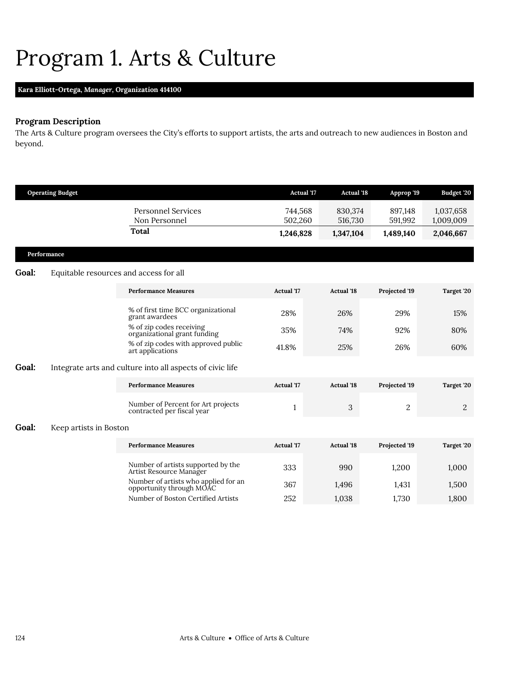# <span id="page-9-0"></span>Program 1. Arts & Culture

# **Kara Elliott-Ortega,** *Manager,* **Organization 414100**

# **Program Description**

The Arts & Culture program oversees the City's efforts to support artists, the arts and outreach to new audiences in Boston and beyond.

|       | <b>Operating Budget</b>                |                                                                  | <b>Actual</b> '17  | <b>Actual '18</b>  | Approp '19         | Budget '20             |
|-------|----------------------------------------|------------------------------------------------------------------|--------------------|--------------------|--------------------|------------------------|
|       |                                        | <b>Personnel Services</b><br>Non Personnel                       | 744,568<br>502,260 | 830,374<br>516,730 | 897,148<br>591,992 | 1,037,658<br>1,009,009 |
|       |                                        | <b>Total</b>                                                     | 1,246,828          | 1,347,104          | 1,489,140          | 2,046,667              |
|       | Performance                            |                                                                  |                    |                    |                    |                        |
| Goal: | Equitable resources and access for all |                                                                  |                    |                    |                    |                        |
|       |                                        | <b>Performance Measures</b>                                      | <b>Actual</b> '17  | <b>Actual '18</b>  | Projected '19      | Target '20             |
|       |                                        | % of first time BCC organizational<br>grant awardees             | 28%                | 26%                | 29%                | 15%                    |
|       |                                        | % of zip codes receiving<br>organizational grant funding         | 35%                | 74%                | 92%                | 80%                    |
|       |                                        | % of zip codes with approved public<br>art applications          | 41.8%              | 25%                | 26%                | 60%                    |
| Goal: |                                        | Integrate arts and culture into all aspects of civic life        |                    |                    |                    |                        |
|       |                                        | <b>Performance Measures</b>                                      | <b>Actual</b> '17  | <b>Actual '18</b>  | Projected '19      | Target '20             |
|       |                                        | Number of Percent for Art projects<br>contracted per fiscal year | $\mathbf{1}$       | 3                  | 2                  | 2                      |
| Goal: | Keep artists in Boston                 |                                                                  |                    |                    |                    |                        |
|       |                                        | <b>Performance Measures</b>                                      | <b>Actual</b> '17  | <b>Actual '18</b>  | Projected '19      | Target '20             |
|       |                                        | Number of artists supported by the<br>Artist Resource Manager    | 333                | 990                | 1,200              | 1,000                  |
|       |                                        | Number of artists who applied for an<br>opportunity through MOAC | 367                | 1,496              | 1,431              | 1,500                  |
|       |                                        | Number of Boston Certified Artists                               | 252                | 1,038              | 1,730              | 1,800                  |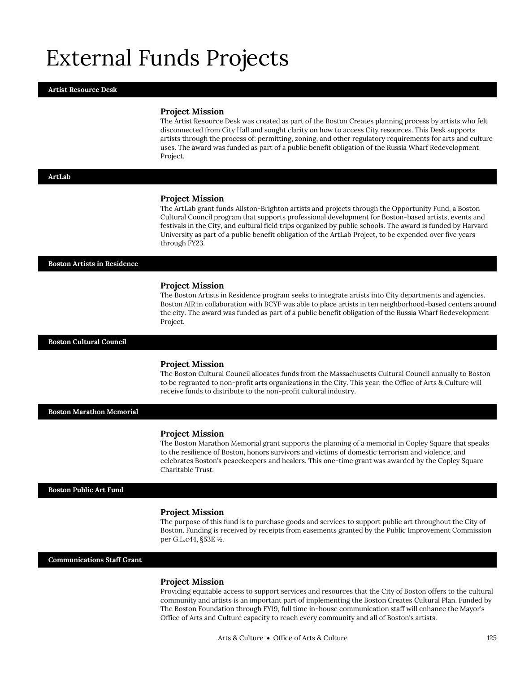# External Funds Projects

### **Artist Resource Desk**

### **Project Mission**

The Artist Resource Desk was created as part of the Boston Creates planning process by artists who felt disconnected from City Hall and sought clarity on how to access City resources. This Desk supports artists through the process of: permitting, zoning, and other regulatory requirements for arts and culture uses. The award was funded as part of a public benefit obligation of the Russia Wharf Redevelopment Project.

### **ArtLab**

### **Project Mission**

The ArtLab grant funds Allston-Brighton artists and projects through the Opportunity Fund, a Boston Cultural Council program that supports professional development for Boston-based artists, events and festivals in the City, and cultural field trips organized by public schools. The award is funded by Harvard University as part of a public benefit obligation of the ArtLab Project, to be expended over five years through FY23.

### **Boston Artists in Residence**

### **Project Mission**

The Boston Artists in Residence program seeks to integrate artists into City departments and agencies. Boston AIR in collaboration with BCYF was able to place artists in ten neighborhood-based centers around the city. The award was funded as part of a public benefit obligation of the Russia Wharf Redevelopment Project.

### **Boston Cultural Council**

### **Project Mission**

The Boston Cultural Council allocates funds from the Massachusetts Cultural Council annually to Boston to be regranted to non-profit arts organizations in the City. This year, the Office of Arts & Culture will receive funds to distribute to the non-profit cultural industry.

**Boston Marathon Memorial**

### **Project Mission**

The Boston Marathon Memorial grant supports the planning of a memorial in Copley Square that speaks to the resilience of Boston, honors survivors and victims of domestic terrorism and violence, and celebrates Boston's peacekeepers and healers. This one-time grant was awarded by the Copley Square Charitable Trust.

### **Boston Public Art Fund**

### **Project Mission**

The purpose of this fund is to purchase goods and services to support public art throughout the City of Boston. Funding is received by receipts from easements granted by the Public Improvement Commission per G.L.c44, §53E ½.

### **Communications Staff Grant**

### **Project Mission**

Providing equitable access to support services and resources that the City of Boston offers to the cultural community and artists is an important part of implementing the Boston Creates Cultural Plan. Funded by The Boston Foundation through FY19, full time in-house communication staff will enhance the Mayor's Office of Arts and Culture capacity to reach every community and all of Boston's artists.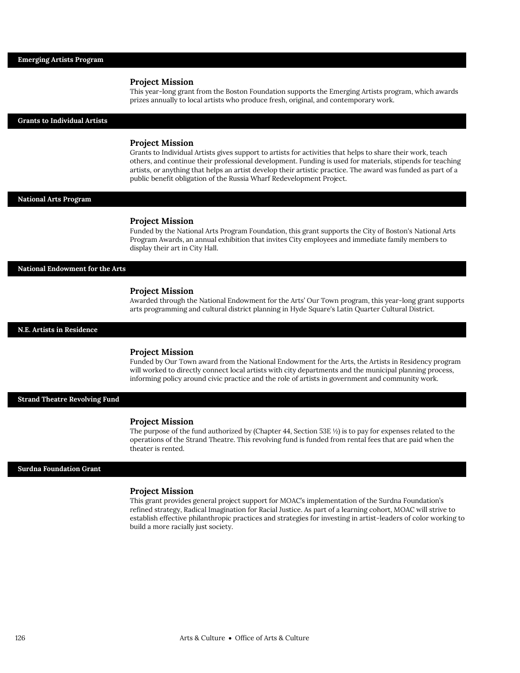### **Project Mission**

This year-long grant from the Boston Foundation supports the Emerging Artists program, which awards prizes annually to local artists who produce fresh, original, and contemporary work.

### **Grants to Individual Artists**

### **Project Mission**

Grants to Individual Artists gives support to artists for activities that helps to share their work, teach others, and continue their professional development. Funding is used for materials, stipends for teaching artists, or anything that helps an artist develop their artistic practice. The award was funded as part of a public benefit obligation of the Russia Wharf Redevelopment Project.

### **National Arts Program**

#### **Project Mission**

Funded by the National Arts Program Foundation, this grant supports the City of Boston's National Arts Program Awards, an annual exhibition that invites City employees and immediate family members to display their art in City Hall.

**National Endowment for the Arts**

### **Project Mission**

Awarded through the National Endowment for the Arts' Our Town program, this year-long grant supports arts programming and cultural district planning in Hyde Square's Latin Quarter Cultural District.

**N.E. Artists in Residence**

### **Project Mission**

Funded by Our Town award from the National Endowment for the Arts, the Artists in Residency program will worked to directly connect local artists with city departments and the municipal planning process, informing policy around civic practice and the role of artists in government and community work.

**Strand Theatre Revolving Fund**

#### **Project Mission**

The purpose of the fund authorized by (Chapter 44, Section 53E $\frac{1}{2}$ ) is to pay for expenses related to the operations of the Strand Theatre. This revolving fund is funded from rental fees that are paid when the theater is rented.

### **Surdna Foundation Grant**

### **Project Mission**

This grant provides general project support for MOAC's implementation of the Surdna Foundation's refined strategy, Radical Imagination for Racial Justice. As part of a learning cohort, MOAC will strive to establish effective philanthropic practices and strategies for investing in artist-leaders of color working to build a more racially just society.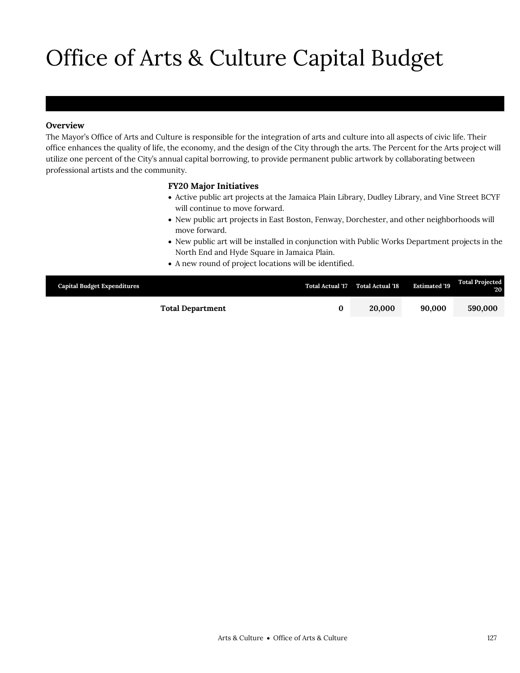# Office of Arts & Culture Capital Budget

# **Overview**

The Mayor's Office of Arts and Culture is responsible for the integration of arts and culture into all aspects of civic life. Their office enhances the quality of life, the economy, and the design of the City through the arts. The Percent for the Arts project will utilize one percent of the City's annual capital borrowing, to provide permanent public artwork by collaborating between professional artists and the community.

## **FY20 Major Initiatives**

- Active public art projects at the Jamaica Plain Library, Dudley Library, and Vine Street BCYF will continue to move forward.
- New public art projects in East Boston, Fenway, Dorchester, and other neighborhoods will move forward.
- New public art will be installed in conjunction with Public Works Department projects in the North End and Hyde Square in Jamaica Plain.
- A new round of project locations will be identified.

| <b>Capital Budget Expenditures</b> | <b>Total Actual '17</b> | <b>Total Actual '18</b> | <b>Estimated '19</b> | <b>Total Projected</b><br>$20^{\circ}$ |
|------------------------------------|-------------------------|-------------------------|----------------------|----------------------------------------|
| <b>Total Department</b>            |                         | 20,000                  | 90,000               | 590,000                                |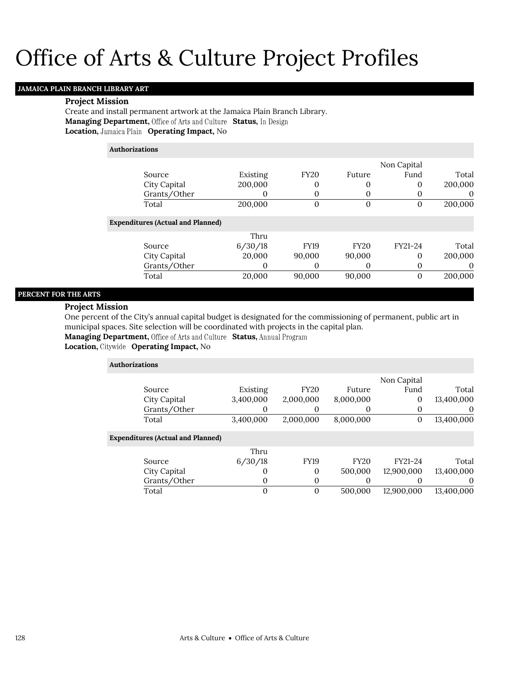# Office of Arts & Culture Project Profiles

# **JAMAICA PLAIN BRANCH LIBRARY ART**

## **Project Mission**

Create and install permanent artwork at the Jamaica Plain Branch Library. **Managing Department, Office of Arts and Culture Status, In Design Location, Jamaica Plain Operating Impact, No** 

| <b>Authorizations</b>                    |                  |             |        |               |         |
|------------------------------------------|------------------|-------------|--------|---------------|---------|
|                                          |                  |             |        | Non Capital   |         |
| Source                                   | Existing         | <b>FY20</b> | Future | Fund          | Total   |
| City Capital                             | 200,000          | 0           | U      | 0             | 200,000 |
| Grants/Other                             |                  |             |        | U             |         |
| Total                                    | 200,000          | 0           | O      | 0             | 200,000 |
| <b>Expenditures (Actual and Planned)</b> |                  |             |        |               |         |
| $\sim$                                   | Thru<br>0.100110 | $- - - - -$ | $-222$ | $\frac{1}{2}$ | . .     |

| Source       | 6/30/18 | <b>FY19</b> | FY20   | FY21-24 | Total   |
|--------------|---------|-------------|--------|---------|---------|
| City Capital | 20.000  | 90.000      | 90,000 |         | 200,000 |
| Grants/Other |         |             |        |         |         |
| Total        | 20.000  | 90.000      | 90,000 |         | 200,000 |

## **PERCENT FOR THE ARTS**

### **Project Mission**

One percent of the City's annual capital budget is designated for the commissioning of permanent, public art in municipal spaces. Site selection will be coordinated with projects in the capital plan.

Managing Department, Office of Arts and Culture Status, Annual Program

**Location, Operating Impact,** No

| <b>Authorizations</b>                    |           |             |             |             |            |
|------------------------------------------|-----------|-------------|-------------|-------------|------------|
|                                          |           |             |             | Non Capital |            |
| Source                                   | Existing  | <b>FY20</b> | Future      | Fund        | Total      |
| City Capital                             | 3,400,000 | 2,000,000   | 8,000,000   | 0           | 13,400,000 |
| Grants/Other                             | 0         | $\Omega$    |             |             | $\theta$   |
| Total                                    | 3,400,000 | 2,000,000   | 8,000,000   | 0           | 13,400,000 |
| <b>Expenditures (Actual and Planned)</b> |           |             |             |             |            |
|                                          | Thru      |             |             |             |            |
| Source                                   | 6/30/18   | <b>FY19</b> | <b>FY20</b> | FY21-24     | Total      |
| City Capital                             | $\Omega$  | $\theta$    | 500,000     | 12,900,000  | 13,400,000 |
| Grants/Other                             | 0         | $\theta$    |             |             | $\theta$   |
| Total                                    | $\Omega$  | $\theta$    | 500,000     | 12.900.000  | 13,400,000 |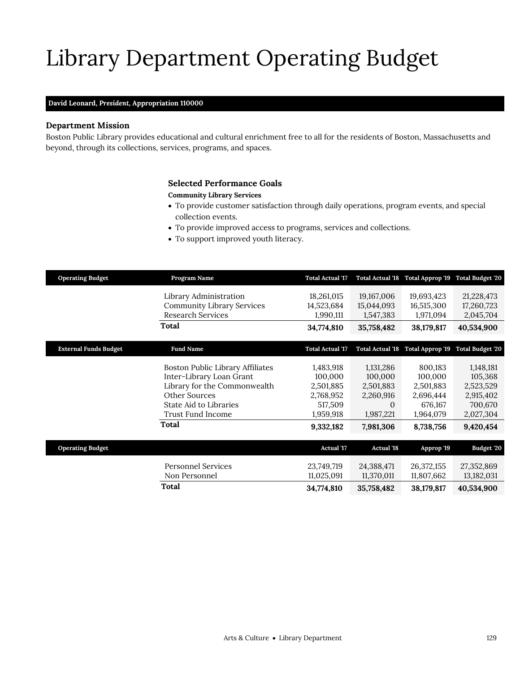# Library Department Operating Budget

# **David Leonard,** *President,* **Appropriation 110000**

# **Department Mission**

Boston Public Library provides educational and cultural enrichment free to all for the residents of Boston, Massachusetts and beyond, through its collections, services, programs, and spaces.

# <span id="page-14-0"></span>**Selected Performance Goals**

## **Community Library Services**

- To provide customer satisfaction through daily operations, program events, and special collection events.
- To provide improved access to programs, services and collections.
- To support improved youth literacy.

| <b>Operating Budget</b>      | Program Name                                                                                                                                                          | <b>Total Actual '17</b>                                                             | <b>Total Actual '18</b>                                                              | Total Approp '19                                                                  | <b>Total Budget '20</b>                                                             |
|------------------------------|-----------------------------------------------------------------------------------------------------------------------------------------------------------------------|-------------------------------------------------------------------------------------|--------------------------------------------------------------------------------------|-----------------------------------------------------------------------------------|-------------------------------------------------------------------------------------|
|                              | Library Administration<br><b>Community Library Services</b><br><b>Research Services</b>                                                                               | 18,261,015<br>14,523,684<br>1,990,111                                               | 19,167,006<br>15,044,093<br>1,547,383                                                | 19,693,423<br>16,515,300<br>1,971,094                                             | 21,228,473<br>17,260,723<br>2,045,704                                               |
|                              | Total                                                                                                                                                                 | 34,774,810                                                                          | 35,758,482                                                                           | 38,179,817                                                                        | 40,534,900                                                                          |
| <b>External Funds Budget</b> | <b>Fund Name</b>                                                                                                                                                      | <b>Total Actual '17</b>                                                             | <b>Total Actual '18</b>                                                              | Total Approp '19                                                                  | <b>Total Budget '20</b>                                                             |
|                              | Boston Public Library Affiliates<br>Inter-Library Loan Grant<br>Library for the Commonwealth<br>Other Sources<br>State Aid to Libraries<br>Trust Fund Income<br>Total | 1,483,918<br>100,000<br>2,501,885<br>2,768,952<br>517,509<br>1,959,918<br>9,332,182 | 1,131,286<br>100,000<br>2,501,883<br>2,260,916<br>$\Omega$<br>1,987,221<br>7,981,306 | 800,183<br>100,000<br>2,501,883<br>2,696,444<br>676,167<br>1,964,079<br>8,738,756 | 1,148,181<br>105,368<br>2,523,529<br>2,915,402<br>700,670<br>2,027,304<br>9,420,454 |
| <b>Operating Budget</b>      |                                                                                                                                                                       | <b>Actual</b> '17                                                                   | <b>Actual</b> '18                                                                    | Approp '19                                                                        | Budget '20                                                                          |
|                              | <b>Personnel Services</b><br>Non Personnel                                                                                                                            | 23,749,719<br>11,025,091                                                            | 24,388,471<br>11,370,011                                                             | 26,372,155<br>11,807,662                                                          | 27,352,869<br>13,182,031                                                            |
|                              | Total                                                                                                                                                                 | 34,774,810                                                                          | 35,758,482                                                                           | 38,179,817                                                                        | 40,534,900                                                                          |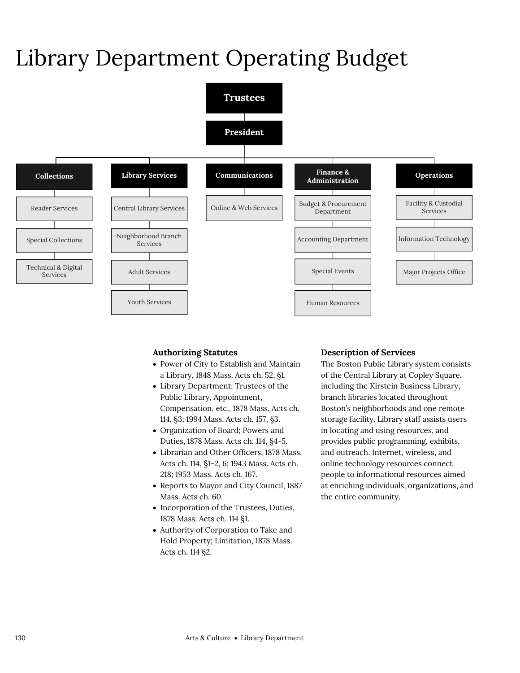# Library Department Operating Budget



# **Authorizing Statutes**

- Power of City to Establish and Maintain a Library, 1848 Mass. Acts ch. 52, §1.
- Library Department: Trustees of the Public Library, Appointment, Compensation, etc., 1878 Mass. Acts ch. 114, §3; 1994 Mass. Acts ch. 157, §3.
- Organization of Board; Powers and Duties, 1878 Mass. Acts ch. 114, §4-5.
- Librarian and Other Officers, 1878 Mass. Acts ch. 114, §1-2, 6; 1943 Mass. Acts ch. 218; 1953 Mass. Acts ch. 167.
- Reports to Mayor and City Council, 1887 Mass. Acts ch. 60.
- Incorporation of the Trustees, Duties, 1878 Mass. Acts ch. 114 §1.
- Authority of Corporation to Take and Hold Property; Limitation, 1878 Mass. Acts ch. 114 §2.

# **Description of Services**

The Boston Public Library system consists of the Central Library at Copley Square, including the Kirstein Business Library, branch libraries located throughout Boston's neighborhoods and one remote storage facility. Library staff assists users in locating and using resources, and provides public programming, exhibits, and outreach. Internet, wireless, and online technology resources connect people to informational resources aimed at enriching individuals, organizations, and the entire community.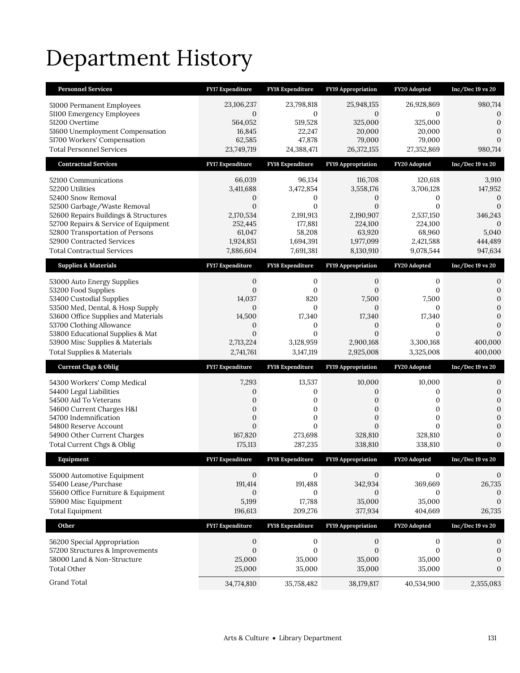# Department History

| <b>Personnel Services</b>                                               | <b>FY17 Expenditure</b>      | <b>FY18 Expenditure</b>          | <b>FY19 Appropriation</b>    | FY20 Adopted         | $Inc/Dec 19$ vs $20$           |
|-------------------------------------------------------------------------|------------------------------|----------------------------------|------------------------------|----------------------|--------------------------------|
| 51000 Permanent Employees                                               | 23,106,237                   | 23,798,818                       | 25,948,155                   | 26,928,869           | 980,714                        |
| 51100 Emergency Employees                                               | 0                            | 0                                | 0                            | 0                    | 0                              |
| 51200 Overtime                                                          | 564,052                      | 519,528                          | 325,000                      | 325,000              | $\mathbf{0}$                   |
| 51600 Unemployment Compensation<br>51700 Workers' Compensation          | 16,845<br>62,585             | 22,247<br>47,878                 | 20,000<br>79,000             | 20,000<br>79,000     | $\overline{0}$<br>$\mathbf{0}$ |
| <b>Total Personnel Services</b>                                         | 23,749,719                   | 24,388,471                       | 26,372,155                   | 27,352,869           | 980,714                        |
| <b>Contractual Services</b>                                             | FY17 Expenditure             | FY18 Expenditure                 | FY19 Appropriation           | FY20 Adopted         | $Inc/Dec 19$ vs $20$           |
| 52100 Communications                                                    | 66,039                       | 96,134                           | 116,708                      | 120,618              | 3,910                          |
| 52200 Utilities                                                         | 3,411,688                    | 3,472,854                        | 3,558,176                    | 3,706,128            | 147,952                        |
| 52400 Snow Removal                                                      | 0                            | 0                                | 0                            | 0                    | 0                              |
| 52500 Garbage/Waste Removal                                             | $\mathbf{0}$                 | $\boldsymbol{0}$                 | $\boldsymbol{0}$             | $\mathbf{0}$         | $\boldsymbol{0}$               |
| 52600 Repairs Buildings & Structures                                    | 2,170,534                    | 2,191,913                        | 2,190,907                    | 2,537,150            | 346,243                        |
| 52700 Repairs & Service of Equipment<br>52800 Transportation of Persons | 252,445<br>61,047            | 177,881<br>58,208                | 224,100<br>63,920            | 224,100<br>68,960    | $\mathbf{0}$<br>5,040          |
| 52900 Contracted Services                                               | 1,924,851                    | 1,694,391                        | 1,977,099                    | 2,421,588            | 444,489                        |
| <b>Total Contractual Services</b>                                       | 7,886,604                    | 7,691,381                        | 8,130,910                    | 9,078,544            | 947,634                        |
| <b>Supplies &amp; Materials</b>                                         | <b>FY17 Expenditure</b>      | <b>FY18 Expenditure</b>          | <b>FY19 Appropriation</b>    | FY20 Adopted         | $Inc/Dec 19$ vs 20             |
| 53000 Auto Energy Supplies                                              | 0                            | 0                                | 0                            | 0                    | 0                              |
| 53200 Food Supplies                                                     | $\mathbf{0}$                 | $\boldsymbol{0}$                 | $\mathbf{0}$                 | 0                    | $\mathbf{0}$                   |
| 53400 Custodial Supplies                                                | 14,037                       | 820                              | 7,500                        | 7,500                | $\mathbf{0}$                   |
| 53500 Med, Dental, & Hosp Supply<br>53600 Office Supplies and Materials | $\mathbf{0}$<br>14,500       | $\boldsymbol{0}$<br>17,340       | $\mathbf{0}$<br>17,340       | 0<br>17,340          | 0<br>$\overline{0}$            |
| 53700 Clothing Allowance                                                | $\mathbf{0}$                 | 0                                | $\mathbf{0}$                 | 0                    | 0                              |
| 53800 Educational Supplies & Mat                                        | $\mathbf{0}$                 | $\mathbf{0}$                     | $\overline{0}$               | $\Omega$             | $\overline{0}$                 |
|                                                                         |                              |                                  |                              |                      |                                |
| 53900 Misc Supplies & Materials                                         | 2,713,224                    | 3,128,959                        | 2,900,168                    | 3,300,168            | 400,000                        |
| <b>Total Supplies &amp; Materials</b>                                   | 2,741,761                    | 3,147,119                        | 2,925,008                    | 3,325,008            | 400,000                        |
| <b>Current Chgs &amp; Oblig</b>                                         | <b>FY17 Expenditure</b>      | <b>FY18 Expenditure</b>          | <b>FY19 Appropriation</b>    | FY20 Adopted         | $Inc/Dec 19$ vs $20$           |
| 54300 Workers' Comp Medical                                             | 7,293                        | 13,537                           | 10,000                       | 10,000               | 0                              |
| 54400 Legal Liabilities                                                 | $\mathbf{0}$                 | 0                                | 0                            | 0                    | $\mathbf{0}$                   |
| 54500 Aid To Veterans                                                   | $\boldsymbol{0}$             | 0                                | 0                            | 0                    | $\boldsymbol{0}$               |
| 54600 Current Charges H&I                                               | $\mathbf{0}$                 | $\mathbf{0}$                     | $\mathbf{0}$                 | $\overline{0}$       | $\overline{0}$                 |
| 54700 Indemnification<br>54800 Reserve Account                          | $\mathbf{0}$<br>$\mathbf{0}$ | $\boldsymbol{0}$<br>$\mathbf{0}$ | $\mathbf{0}$<br>$\mathbf{0}$ | 0<br>$\overline{0}$  | $\overline{0}$<br>0            |
| 54900 Other Current Charges                                             | 167,820                      | 273,698                          | 328,810                      | 328,810              | 0                              |
| Total Current Chgs & Oblig                                              | 175,113                      | 287,235                          | 338,810                      | 338,810              | $\overline{0}$                 |
| Equipment                                                               | FY17 Expenditure             | <b>FY18</b> Expenditure          | <b>FY19</b> Appropriation    | FY20 Adopted         | $Inc/Dec 19$ vs $20$           |
| 55000 Automotive Equipment                                              | $\mathbf{0}$                 | 0                                | 0                            | 0                    | 0                              |
| 55400 Lease/Purchase                                                    | 191,414                      | 191,488                          | 342,934                      | 369,669              | 26,735                         |
| 55600 Office Furniture & Equipment                                      | $\mathbf{0}$                 | 0                                | 0                            | 0                    | 0                              |
| 55900 Misc Equipment                                                    | 5,199                        | 17,788                           | 35,000                       | 35,000               | $\boldsymbol{0}$               |
| <b>Total Equipment</b>                                                  | 196,613                      | 209,276                          | 377,934                      | 404,669              | 26,735                         |
| Other                                                                   | FY17 Expenditure             | FY18 Expenditure                 | FY19 Appropriation           | FY20 Adopted         | $Inc/Dec 19$ vs 20             |
| 56200 Special Appropriation                                             | 0                            | $\boldsymbol{0}$                 | 0                            | $\boldsymbol{0}$     | 0                              |
| 57200 Structures & Improvements                                         | $\boldsymbol{0}$             | $\boldsymbol{0}$                 | $\boldsymbol{0}$             | $\boldsymbol{0}$     | $\boldsymbol{0}$               |
| 58000 Land & Non-Structure                                              | 25,000                       | 35,000                           | 35,000                       | 35,000               | $\boldsymbol{0}$               |
| <b>Total Other</b><br>Grand Total                                       | 25,000<br>34,774,810         | 35,000<br>35,758,482             | 35,000<br>38,179,817         | 35,000<br>40,534,900 | $\mathbf{0}$<br>2,355,083      |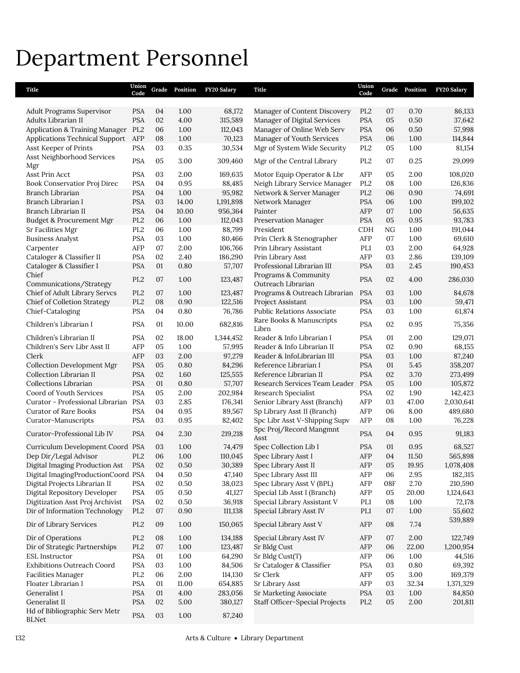# Department Personnel

| Title                                         | Union<br>Code                      | Grade    | Position      | <b>FY20 Salary</b> | Title                                                  | Union<br>Code     | Grade    | Position     | <b>FY20 Salary</b> |
|-----------------------------------------------|------------------------------------|----------|---------------|--------------------|--------------------------------------------------------|-------------------|----------|--------------|--------------------|
| Adult Programs Supervisor                     | <b>PSA</b>                         | 04       | 1.00          | 68,172             | Manager of Content Discovery                           | PL <sub>2</sub>   | 07       | 0.70         | 86,133             |
| Adults Librarian II                           | <b>PSA</b>                         | 02       | 4.00          | 315,589            | Manager of Digital Services                            | <b>PSA</b>        | 05       | 0.50         | 37,642             |
| Application & Training Manager PL2            |                                    | 06       | 1.00          | 112,043            | Manager of Online Web Serv                             | <b>PSA</b>        | 06       | 0.50         | 57,998             |
| Applications Technical Support                | AFP                                | 08       | 1.00          | 70,123             | Manager of Youth Services                              | <b>PSA</b>        | 06       | 1.00         | 114,844            |
| Asst Keeper of Prints                         | <b>PSA</b>                         | 03       | 0.35          | 30,534             | Mgr of System Wide Security                            | PL <sub>2</sub>   | 05       | 1.00         | 81,154             |
| Asst Neighborhood Services<br>Mgr             | <b>PSA</b>                         | 05       | 3.00          | 309,460            | Mgr of the Central Library                             | PL <sub>2</sub>   | 07       | 0.25         | 29,099             |
| Asst Prin Acct                                | <b>PSA</b>                         | 03       | 2.00          | 169,635            | Motor Equip Operator & Lbr                             | AFP               | 05       | 2.00         | 108,020            |
| Book Conservatior Proj Direc                  | <b>PSA</b>                         | 04       | 0.95          | 88,485             | Neigh Library Service Manager                          | PL <sub>2</sub>   | 08       | 1.00         | 126,836            |
| Branch Librarian                              | <b>PSA</b>                         | 04       | 1.00          | 95,982             | Network & Server Manager                               | PL <sub>2</sub>   | 06       | 0.90         | 74,691             |
| Branch Librarian I                            | <b>PSA</b>                         | 03       | 14.00         | 1,191,898          | Network Manager                                        | <b>PSA</b>        | 06       | 1.00         | 199,102            |
| Branch Librarian II                           | <b>PSA</b>                         | 04       | 10.00         | 956,364            | Painter                                                | AFP               | 07       | 1.00         | 56,635             |
| Budget & Procurement Mgr                      | PL <sub>2</sub>                    | 06       | 1.00          | 112,043            | Preservation Manager                                   | <b>PSA</b>        | 05       | 0.95         | 93,783             |
| Sr Facilities Mgr                             | PL <sub>2</sub>                    | 06       | 1.00          | 88,799             | President                                              | CDH               | NG       | 1.00         | 191,044            |
| <b>Business Analyst</b>                       | <b>PSA</b>                         | 03       | 1.00          | 80,466             | Prin Clerk & Stenographer                              | AFP               | 07       | 1.00         | 69,610             |
| Carpenter                                     | AFP                                | 07       | 2.00          | 106,766            | Prin Library Assistant                                 | PL1               | 03       | 2.00         | 64,928             |
| Cataloger & Classifier II                     | <b>PSA</b>                         | 02       | 2.40          | 186,290            | Prin Library Asst                                      | AFP               | 03       | 2.86         | 139,109            |
| Cataloger & Classifier I                      | <b>PSA</b>                         | 01       | 0.80          | 57,707             | Professional Librarian III                             | <b>PSA</b>        | 03       | 2.45         | 190,453            |
| Chief                                         | PL <sub>2</sub>                    | 07       | 1.00          | 123,487            | Programs & Community                                   | <b>PSA</b>        | 02       | 4.00         | 286,030            |
| Communications/Strategy                       |                                    | 07       | 1.00          |                    | Outreach Librarian                                     |                   |          |              | 84,678             |
| Chief of Adult Library Servcs                 | PL <sub>2</sub><br>PL <sub>2</sub> |          | 0.90          | 123,487            | Programs & Outreach Librarian                          | <b>PSA</b>        | 03       | 1.00<br>1.00 |                    |
| <b>Chief of Colletion Strategy</b>            |                                    | 08       |               | 122,516            | Project Assistant                                      | <b>PSA</b>        | 03       |              | 59,471             |
| Chief-Cataloging<br>Children's Librarian I    | <b>PSA</b><br><b>PSA</b>           | 04<br>01 | 0.80<br>10.00 | 76,786<br>682,816  | Public Relations Associate<br>Rare Books & Manuscripts | PSA<br><b>PSA</b> | 03<br>02 | 1.00<br>0.95 | 61,874<br>75,356   |
|                                               |                                    |          |               |                    | Librn                                                  |                   |          |              |                    |
| Children's Librarian II                       | <b>PSA</b>                         | 02       | 18.00         | 1,344,452          | Reader & Info Librarian I                              | <b>PSA</b>        | 01       | 2.00         | 129,071            |
| Children's Serv Libr Asst II                  | AFP                                | 05       | 1.00          | 57,995             | Reader & Info Librarian II                             | <b>PSA</b>        | 02       | 0.90         | 68,155             |
| Clerk                                         | AFP                                | 03       | 2.00          | 97,279             | Reader & InfoLibrarian III                             | <b>PSA</b>        | 03       | 1.00         | 87,240             |
| <b>Collection Development Mgr</b>             | <b>PSA</b>                         | 05       | 0.80          | 84,296             | Reference Librarian I                                  | <b>PSA</b>        | 01       | 5.45         | 358,207            |
| Collection Librarian II                       | <b>PSA</b>                         | 02       | 1.60          | 125,555            | Reference Librarian II                                 | <b>PSA</b>        | 02       | 3.70         | 273,499            |
| Collections Librarian                         | <b>PSA</b>                         | 01       | 0.80          | 57,707             | Research Services Team Leader                          | <b>PSA</b>        | 05       | 1.00         | 105,872            |
| Coord of Youth Services                       | <b>PSA</b>                         | 05       | 2.00          | 202,984            | Research Specialist                                    | <b>PSA</b>        | 02       | 1.90         | 142,423            |
| Curator - Professional Librarian PSA          |                                    | 03       | 2.85          | 176,341            | Senior Library Asst (Branch)                           | AFP               | 03       | 47.00        | 2,030,641          |
| Curator of Rare Books                         | <b>PSA</b>                         | 04       | 0.95          | 89,567             | Sp Library Asst II (Branch)                            | AFP               | 06       | 8.00         | 489,680            |
| Curator-Manuscripts                           | <b>PSA</b>                         | 03       | 0.95          | 82,402             | Spc Libr Asst V-Shipping Supv                          | AFP               | 08       | 1.00         | 76,228             |
| Curator-Professional Lib IV                   | <b>PSA</b>                         | 04       | 2.30          | 219,218            | Spc Proj/Record Mangmnt<br>Asst                        | <b>PSA</b>        | 04       | 0.95         | 91,183             |
| Curriculum Development Coord PSA              |                                    | 03       | 1.00          | 74,479             | Spec Collection Lib I                                  | <b>PSA</b>        | 01       | 0.95         | 68,527             |
| Dep Dir/Legal Advisor                         | PL <sub>2</sub>                    | 06       | 1.00          | 110,045            | Spec Library Asst I                                    | AFP               | 04       | 11.50        | 565,898            |
| Digital Imaging Production Ast                | <b>PSA</b>                         | 02       | 0.50          | 30,389             | Spec Library Asst II                                   | AFP               | 05       | 19.95        | 1,078,408          |
| Digital ImagingProductionCoord PSA            |                                    | 04       | 0.50          | 47,140             | Spec Library Asst III                                  | AFP               | 06       | 2.95         | 182,315            |
| Digital Projects Librarian II                 | <b>PSA</b>                         | 02       | 0.50          | 38,023             | Spec Library Asst V (BPL)                              | AFP               | 08F      | 2.70         | 210,590            |
| Digital Repository Developer                  | PSA                                | 05       | 0.50          | 41,127             | Special Lib Asst I (Branch)                            | AFP               | 05       | 20.00        | 1,124,643          |
| Digitization Asst Proj Archivist              | <b>PSA</b>                         | 02       | 0.50          | 36,918             | Special Library Assistant V                            | PL1               | 08       | 1.00         | 72,178             |
| Dir of Information Technology                 | PL <sub>2</sub>                    | 07       | 0.90          | 111,138            | Special Library Asst IV                                | PL1               | 07       | 1.00         | 55,602<br>539,889  |
| Dir of Library Services                       | PL <sub>2</sub>                    | 09       | 1.00          | 150,065            | Special Library Asst V                                 | AFP               | 08       | 7.74         |                    |
| Dir of Operations                             | PL <sub>2</sub>                    | 08       | 1.00          | 134,188            | Special Library Asst IV                                | AFP               | 07       | 2.00         | 122,749            |
| Dir of Strategic Partnerships                 | PL <sub>2</sub>                    | 07       | 1.00          | 123,487            | Sr Bldg Cust                                           | AFP               | 06       | 22.00        | 1,200,954          |
| ESL Instructor                                | PSA                                | $01\,$   | 1.00          | 64,290             | Sr Bldg Cust(T)                                        | AFP               | 06       | 1.00         | 44,516             |
| Exhibitions Outreach Coord                    | <b>PSA</b>                         | 03       | 1.00          | 84,506             | Sr Cataloger & Classifier                              | <b>PSA</b>        | 03       | 0.80         | 69,392             |
| <b>Facilities Manager</b>                     | PL <sub>2</sub>                    | 06       | 2.00          | 114,130            | Sr Clerk                                               | AFP               | 05       | 3.00         | 169,379            |
| Floater Librarian I                           | <b>PSA</b>                         | 01       | 11.00         | 654,885            | Sr Library Asst                                        | AFP               | 03       | 32.34        | 1,371,329          |
| Generalist I                                  | <b>PSA</b>                         | 01       | 4.00          | 283,056            | Sr Marketing Associate                                 | <b>PSA</b>        | 03       | 1.00         | 84,850             |
| Generalist II                                 | <b>PSA</b>                         | 02       | 5.00          | 380,127            | <b>Staff Officer-Special Projects</b>                  | $\rm PL2$         | 05       | $2.00\,$     | 201,811            |
| Hd of Bibliographic Serv Metr<br><b>BLNet</b> | <b>PSA</b>                         | 03       | 1.00          | 87,240             |                                                        |                   |          |              |                    |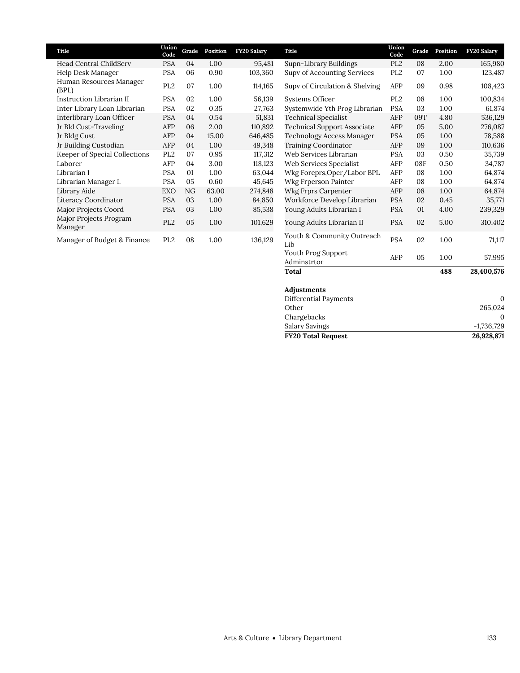| Title                             | Union<br>Code   | Grade | Position | <b>FY20 Salary</b> | Title                              | Union<br>Code   | Grade | Position | <b>FY20 Salary</b> |
|-----------------------------------|-----------------|-------|----------|--------------------|------------------------------------|-----------------|-------|----------|--------------------|
| Head Central ChildServ            | <b>PSA</b>      | 04    | 1.00     | 95,481             | Supn-Library Buildings             | PL <sub>2</sub> | 08    | 2.00     | 165,980            |
| Help Desk Manager                 | <b>PSA</b>      | 06    | 0.90     | 103,360            | <b>Supv of Accounting Services</b> | PL <sub>2</sub> | 07    | 1.00     | 123,487            |
| Human Resources Manager<br>(BPL)  | PL <sub>2</sub> | 07    | 1.00     | 114,165            | Supv of Circulation & Shelving     | AFP             | 09    | 0.98     | 108,423            |
| Instruction Librarian II          | <b>PSA</b>      | 02    | 1.00     | 56,139             | Systems Officer                    | PL <sub>2</sub> | 08    | 1.00     | 100,834            |
| Inter Library Loan Librarian      | <b>PSA</b>      | 02    | 0.35     | 27,763             | Systemwide Yth Prog Librarian      | <b>PSA</b>      | 03    | 1.00     | 61,874             |
| Interlibrary Loan Officer         | <b>PSA</b>      | 04    | 0.54     | 51,831             | <b>Technical Specialist</b>        | AFP             | 09T   | 4.80     | 536,129            |
| Jr Bld Cust-Traveling             | AFP             | 06    | 2.00     | 110,892            | Technical Support Associate        | AFP             | 05    | 5.00     | 276,087            |
| Jr Bldg Cust                      | AFP             | 04    | 15.00    | 646,485            | Technology Access Manager          | <b>PSA</b>      | 05    | 1.00     | 78,588             |
| Jr Building Custodian             | AFP             | 04    | 1.00     | 49,348             | <b>Training Coordinator</b>        | AFP             | 09    | 1.00     | 110,636            |
| Keeper of Special Collections     | PL <sub>2</sub> | 07    | 0.95     | 117,312            | Web Services Librarian             | <b>PSA</b>      | 03    | 0.50     | 35,739             |
| Laborer                           | AFP             | 04    | 3.00     | 118,123            | Web Services Specialist            | AFP             | 08F   | 0.50     | 34,787             |
| Librarian I                       | <b>PSA</b>      | 01    | 1.00     | 63,044             | Wkg Foreprs, Oper/Labor BPL        | AFP             | 08    | 1.00     | 64,874             |
| Librarian Manager I.              | <b>PSA</b>      | 05    | 0.60     | 45,645             | Wkg Frperson Painter               | AFP             | 08    | 1.00     | 64,874             |
| Library Aide                      | EXO             | NG    | 63.00    | 274,848            | Wkg Frprs Carpenter                | AFP             | 08    | 1.00     | 64,874             |
| Literacy Coordinator              | <b>PSA</b>      | 03    | 1.00     | 84,850             | Workforce Develop Librarian        | <b>PSA</b>      | 02    | 0.45     | 35,771             |
| Major Projects Coord              | <b>PSA</b>      | 03    | 1.00     | 85,538             | Young Adults Librarian I           | <b>PSA</b>      | 01    | 4.00     | 239,329            |
| Major Projects Program<br>Manager | PL <sub>2</sub> | 05    | 1.00     | 101,629            | Young Adults Librarian II          | <b>PSA</b>      | 02    | 5.00     | 310,402            |
| Manager of Budget & Finance       | PL <sub>2</sub> | 08    | 1.00     | 136,129            | Youth & Community Outreach<br>Lib  | <b>PSA</b>      | 02    | 1.00     | 71,117             |

# **Adjustments**

| <b>FY20 Total Request</b> | 26,928,871   |
|---------------------------|--------------|
| <b>Salary Savings</b>     | $-1,736,729$ |
| Chargebacks               |              |
| Other                     | 265,024      |
| Differential Payments     |              |
|                           |              |

Youth Prog Support Adminstrtor AFP <sup>05</sup> 1.00 57,995 **Total 488 28,400,576**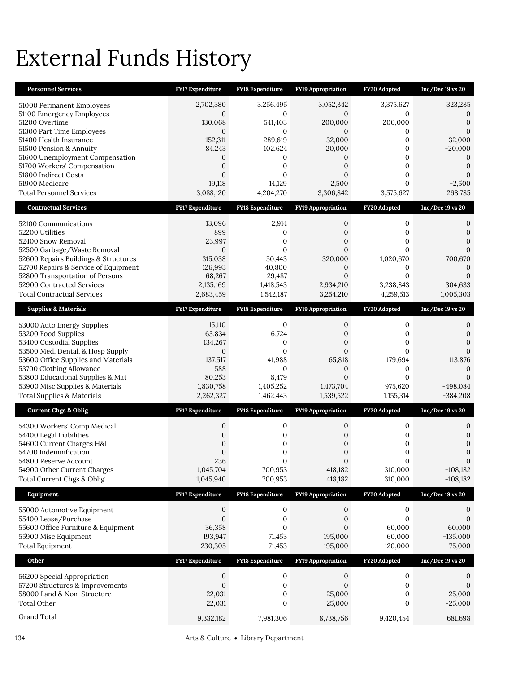# External Funds History

| <b>Personnel Services</b>                                                    | FY17 Expenditure        | FY18 Expenditure                     | FY19 Appropriation           | FY20 Adopted                     | Inc/Dec 19 vs 20           |
|------------------------------------------------------------------------------|-------------------------|--------------------------------------|------------------------------|----------------------------------|----------------------------|
| 51000 Permanent Employees                                                    | 2,702,380               | 3,256,495                            | 3,052,342                    | 3,375,627                        | 323,285                    |
| 51100 Emergency Employees                                                    | $\mathbf{0}$            | $\mathbf{0}$                         | 0                            | $\mathbf{0}$                     | 0                          |
| 51200 Overtime<br>51300 Part Time Employees                                  | 130,068<br>$\mathbf{0}$ | 541,403<br>$\mathbf{0}$              | 200,000<br>$\mathbf{0}$      | 200,000<br>0                     | $\overline{0}$<br>$\Omega$ |
| 51400 Health Insurance                                                       | 152,311                 | 289,619                              | 32,000                       | $\mathbf{0}$                     | $-32,000$                  |
| 51500 Pension & Annuity<br>51600 Unemployment Compensation                   | 84,243                  | 102,624                              | 20,000                       | $\mathbf{0}$<br>$\mathbf{0}$     | $-20,000$<br>$\Omega$      |
| 51700 Workers' Compensation                                                  | 0<br>0                  | 0<br>$\mathbf{0}$                    | 0<br>0                       | $\mathbf{0}$                     | $\overline{0}$             |
| 51800 Indirect Costs                                                         | $\mathbf{0}$            | 0                                    | $\overline{0}$               | $\mathbf{0}$                     | $\Omega$                   |
| 51900 Medicare<br><b>Total Personnel Services</b>                            | 19,118<br>3,088,120     | 14,129<br>4,204,270                  | 2,500<br>3,306,842           | $\overline{0}$<br>3,575,627      | $-2,500$<br>268,785        |
| <b>Contractual Services</b>                                                  |                         |                                      |                              | FY20 Adopted                     |                            |
|                                                                              | <b>FY17 Expenditure</b> | FY18 Expenditure                     | FY19 Appropriation           |                                  | $Inc/Dec 19$ vs $20$       |
| 52100 Communications<br>52200 Utilities                                      | 13,096<br>899           | 2,914<br>0                           | 0<br>0                       | 0<br>0                           | 0<br>0                     |
| 52400 Snow Removal                                                           | 23,997                  | $\mathbf{0}$                         | $\overline{0}$               | 0                                |                            |
| 52500 Garbage/Waste Removal                                                  | $\mathbf{0}$            | $\mathbf{0}$                         | $\overline{0}$               | $\overline{0}$                   | $\Omega$                   |
| 52600 Repairs Buildings & Structures<br>52700 Repairs & Service of Equipment | 315,038<br>126,993      | 50,443<br>40,800                     | 320,000<br>0                 | 1,020,670<br>0                   | 700,670<br>$\mathcal{O}$   |
| 52800 Transportation of Persons                                              | 68,267                  | 29,487                               | $\overline{0}$               | 0                                | $\Omega$                   |
| 52900 Contracted Services                                                    | 2,135,169               | 1,418,543                            | 2,934,210                    | 3,238,843                        | 304,633                    |
| Total Contractual Services                                                   | 2,683,459               | 1,542,187                            | 3,254,210                    | 4,259,513                        | 1,005,303                  |
| <b>Supplies &amp; Materials</b>                                              | <b>FY17 Expenditure</b> | <b>FY18 Expenditure</b>              | <b>FY19 Appropriation</b>    | FY20 Adopted                     | Inc/Dec 19 vs 20           |
| 53000 Auto Energy Supplies                                                   | 15,110                  | $\mathbf{0}$                         | 0                            | 0                                | 0                          |
| 53200 Food Supplies<br>53400 Custodial Supplies                              | 63,834<br>134,267       | 6,724<br>0                           | 0<br>0                       | $\mathbf{0}$<br>$\mathbf{0}$     | 0<br>$\Omega$              |
| 53500 Med, Dental, & Hosp Supply                                             | $\mathbf{0}$            | $\mathbf{0}$                         | $\overline{0}$               | $\overline{0}$                   | $\Omega$                   |
| 53600 Office Supplies and Materials                                          | 137,517                 | 41,988                               | 65,818                       | 179,694                          | 113,876                    |
| 53700 Clothing Allowance<br>53800 Educational Supplies & Mat                 | 588<br>80,253           | $\mathbf{0}$<br>8,479                | $\mathbf{0}$<br>$\mathbf{0}$ | 0<br>0                           |                            |
| 53900 Misc Supplies & Materials                                              | 1,830,758               | 1,405,252                            | 1,473,704                    | 975,620                          | $-498,084$                 |
| <b>Total Supplies &amp; Materials</b>                                        | 2,262,327               | 1,462,443                            | 1,539,522                    | 1,155,314                        | $-384,208$                 |
| <b>Current Chgs &amp; Oblig</b>                                              | <b>FY17 Expenditure</b> | FY18 Expenditure                     | FY19 Appropriation           | FY20 Adopted                     | $Inc/Dec 19$ vs $20$       |
| 54300 Workers' Comp Medical                                                  | 0                       | $\mathbf{0}$                         | $\mathbf{0}$                 | 0                                | 0                          |
| 54400 Legal Liabilities                                                      | $\overline{0}$          | $\mathbf{0}$                         | $\overline{0}$               | 0                                | $\Omega$                   |
| 54600 Current Charges H&I<br>54700 Indemnification                           | 0<br>$\mathbf{0}$       | 0<br>$\mathbf{0}$                    | 0<br>$\mathbf{0}$            | $\boldsymbol{0}$<br>0            | 0<br>$\mathbf{0}$          |
| 54800 Reserve Account                                                        | 236                     | $\Omega$                             | $\Omega$                     | $\Omega$                         | $\overline{0}$             |
| 54900 Other Current Charges<br>Total Current Chgs & Oblig                    | 1,045,704<br>1,045,940  | 700,953<br>700,953                   | 418,182<br>418,182           | 310,000<br>310,000               | $-108,182$<br>$-108,182$   |
| Equipment                                                                    | FY17 Expenditure        | FY18 Expenditure                     | <b>FY19 Appropriation</b>    | FY20 Adopted                     | $Inc/Dec 19$ vs $20$       |
|                                                                              |                         |                                      |                              |                                  |                            |
| 55000 Automotive Equipment<br>55400 Lease/Purchase                           | 0<br>$\mathbf{0}$       | $\boldsymbol{0}$<br>$\boldsymbol{0}$ | 0<br>$\boldsymbol{0}$        | $\boldsymbol{0}$<br>$\mathbf{0}$ | 0<br>$\mathbf{0}$          |
| 55600 Office Furniture & Equipment                                           | 36,358                  | $\mathbf{0}$                         | 0                            | 60,000                           | 60,000                     |
| 55900 Misc Equipment                                                         | 193,947                 | 71,453                               | 195,000                      | 60,000                           | $-135,000$                 |
| <b>Total Equipment</b>                                                       | 230,305                 | 71,453                               | 195,000                      | 120,000                          | $-75,000$                  |
| Other                                                                        | FY17 Expenditure        | FY18 Expenditure                     | FY19 Appropriation           | FY20 Adopted                     | Inc/Dec 19 vs 20           |
| 56200 Special Appropriation                                                  | 0                       | $\boldsymbol{0}$                     | 0                            | 0                                | 0                          |
| 57200 Structures & Improvements<br>58000 Land & Non-Structure                | $\mathbf{0}$<br>22,031  | $\boldsymbol{0}$<br>$\boldsymbol{0}$ | $\mathbf{0}$<br>25,000       | $\boldsymbol{0}$<br>0            | $\mathbf{0}$<br>$-25,000$  |
| Total Other                                                                  | 22,031                  | $\mathbf{0}$                         | 25,000                       | 0                                | $-25,000$                  |
| Grand Total                                                                  | 9,332,182               | 7,981,306                            | 8,738,756                    | 9,420,454                        | 681,698                    |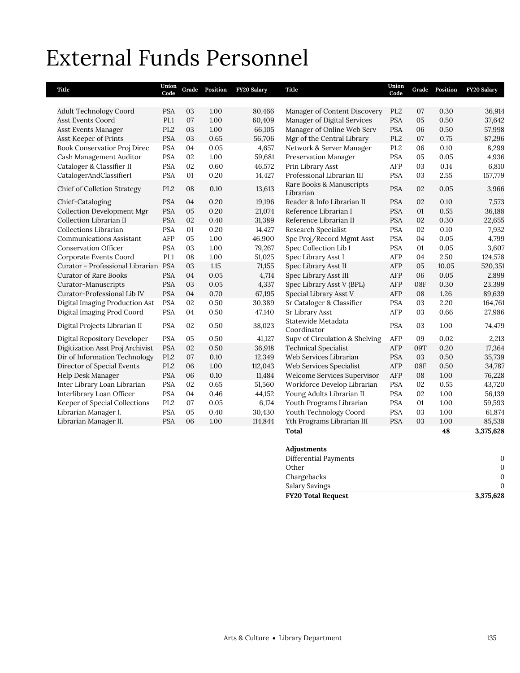# External Funds Personnel

| Title                                | Union<br>Code   | Grade | Position | FY20 Salary | Title                                 | Union<br>Code   | Grade | Position | FY20 Salary |
|--------------------------------------|-----------------|-------|----------|-------------|---------------------------------------|-----------------|-------|----------|-------------|
|                                      |                 |       |          |             |                                       |                 |       |          |             |
| <b>Adult Technology Coord</b>        | <b>PSA</b>      | 03    | 1.00     | 80,466      | Manager of Content Discovery          | PL <sub>2</sub> | 07    | 0.30     | 36,914      |
| <b>Asst Events Coord</b>             | PL1             | 07    | 1.00     | 60,409      | Manager of Digital Services           | <b>PSA</b>      | 05    | 0.50     | 37,642      |
| Asst Events Manager                  | PL <sub>2</sub> | 03    | 1.00     | 66,105      | Manager of Online Web Serv            | <b>PSA</b>      | 06    | 0.50     | 57,998      |
| Asst Keeper of Prints                | <b>PSA</b>      | 03    | 0.65     | 56,706      | Mgr of the Central Library            | PL <sub>2</sub> | 07    | 0.75     | 87,296      |
| Book Conservatior Proj Direc         | <b>PSA</b>      | 04    | 0.05     | 4,657       | Network & Server Manager              | PL <sub>2</sub> | 06    | 0.10     | 8,299       |
| Cash Management Auditor              | <b>PSA</b>      | 02    | 1.00     | 59,681      | Preservation Manager                  | <b>PSA</b>      | 05    | 0.05     | 4,936       |
| Cataloger & Classifier II            | <b>PSA</b>      | 02    | 0.60     | 46,572      | Prin Library Asst                     | AFP             | 03    | 0.14     | 6,810       |
| CatalogerAndClassifierI              | <b>PSA</b>      | 01    | 0.20     | 14,427      | Professional Librarian III            | <b>PSA</b>      | 03    | 2.55     | 157,779     |
| Chief of Colletion Strategy          | PL <sub>2</sub> | 08    | 0.10     | 13,613      | Rare Books & Manuscripts<br>Librarian | <b>PSA</b>      | 02    | 0.05     | 3,966       |
| Chief-Cataloging                     | <b>PSA</b>      | 04    | 0.20     | 19,196      | Reader & Info Librarian II            | <b>PSA</b>      | 02    | 0.10     | 7,573       |
| <b>Collection Development Mgr</b>    | <b>PSA</b>      | 05    | 0.20     | 21,074      | Reference Librarian I                 | <b>PSA</b>      | 01    | 0.55     | 36,188      |
| Collection Librarian II              | <b>PSA</b>      | 02    | 0.40     | 31,389      | Reference Librarian II                | <b>PSA</b>      | 02    | 0.30     | 22,655      |
| Collections Librarian                | <b>PSA</b>      | 01    | 0.20     | 14,427      | Research Specialist                   | <b>PSA</b>      | 02    | 0.10     | 7,932       |
| <b>Communications Assistant</b>      | AFP             | 05    | 1.00     | 46,900      | Spc Proj/Record Mgmt Asst             | <b>PSA</b>      | 04    | 0.05     | 4,799       |
| <b>Conservation Officer</b>          | <b>PSA</b>      | 03    | 1.00     | 79,267      | Spec Collection Lib I                 | <b>PSA</b>      | 01    | 0.05     | 3,607       |
| Corporate Events Coord               | PL1             | 08    | 1.00     | 51,025      | Spec Library Asst I                   | AFP             | 04    | 2.50     | 124,578     |
| Curator - Professional Librarian PSA |                 | 03    | 1.15     | 71,155      | Spec Library Asst II                  | AFP             | 05    | 10.05    | 520,351     |
| <b>Curator of Rare Books</b>         | <b>PSA</b>      | 04    | 0.05     | 4,714       | Spec Library Asst III                 | AFP             | 06    | 0.05     | 2,899       |
| Curator-Manuscripts                  | <b>PSA</b>      | 03    | 0.05     | 4,337       | Spec Library Asst V (BPL)             | AFP             | 08F   | 0.30     | 23,399      |
| Curator-Professional Lib IV          | <b>PSA</b>      | 04    | 0.70     | 67,195      | Special Library Asst V                | AFP             | 08    | 1.26     | 89,639      |
| Digital Imaging Production Ast       | <b>PSA</b>      | 02    | 0.50     | 30,389      | Sr Cataloger & Classifier             | <b>PSA</b>      | 03    | 2.20     | 164,761     |
| Digital Imaging Prod Coord           | <b>PSA</b>      | 04    | 0.50     | 47,140      | Sr Library Asst                       | AFP             | 03    | 0.66     | 27,986      |
| Digital Projects Librarian II        | <b>PSA</b>      | 02    | 0.50     | 38,023      | Statewide Metadata<br>Coordinator     | <b>PSA</b>      | 03    | 1.00     | 74,479      |
| Digital Repository Developer         | <b>PSA</b>      | 05    | 0.50     | 41,127      | Supv of Circulation & Shelving        | AFP             | 09    | 0.02     | 2,213       |
| Digitization Asst Proj Archivist     | <b>PSA</b>      | 02    | 0.50     | 36,918      | <b>Technical Specialist</b>           | AFP             | 09T   | 0.20     | 17,364      |
| Dir of Information Technology        | PL <sub>2</sub> | 07    | 0.10     | 12,349      | Web Services Librarian                | <b>PSA</b>      | 03    | 0.50     | 35,739      |
| Director of Special Events           | PL <sub>2</sub> | 06    | 1.00     | 112,043     | Web Services Specialist               | AFP             | 08F   | 0.50     | 34,787      |
| Help Desk Manager                    | <b>PSA</b>      | 06    | 0.10     | 11,484      | Welcome Services Supervisor           | AFP             | 08    | 1.00     | 76,228      |
| Inter Library Loan Librarian         | <b>PSA</b>      | 02    | 0.65     | 51,560      | Workforce Develop Librarian           | <b>PSA</b>      | 02    | 0.55     | 43,720      |
| Interlibrary Loan Officer            | <b>PSA</b>      | 04    | 0.46     | 44,152      | Young Adults Librarian II             | <b>PSA</b>      | 02    | 1.00     | 56,139      |
| Keeper of Special Collections        | PL <sub>2</sub> | 07    | 0.05     | 6,174       | Youth Programs Librarian              | <b>PSA</b>      | 01    | 1.00     | 59,593      |
| Librarian Manager I.                 | <b>PSA</b>      | 05    | 0.40     | 30,430      | Youth Technology Coord                | <b>PSA</b>      | 03    | 1.00     | 61,874      |
| Librarian Manager II.                | <b>PSA</b>      | 06    | 1.00     | 114,844     | Yth Programs Librarian III            | <b>PSA</b>      | 03    | 1.00     | 85,538      |
|                                      |                 |       |          |             | <b>Total</b>                          |                 |       | 48       | 3,375,628   |

### **Adjustments**

| <b>FY20 Total Request</b> | 3,375,628 |
|---------------------------|-----------|
| Salary Savings            |           |
| Chargebacks               | 0         |
| Other                     | 0         |
| Differential Payments     |           |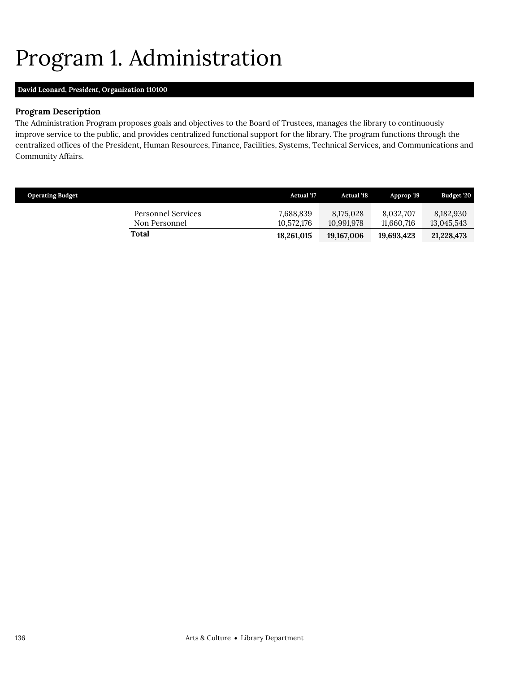# <span id="page-21-0"></span>Program 1. Administration

# **David Leonard,** *President,* **Organization 110100**

# **Program Description**

The Administration Program proposes goals and objectives to the Board of Trustees, manages the library to continuously improve service to the public, and provides centralized functional support for the library. The program functions through the centralized offices of the President, Human Resources, Finance, Facilities, Systems, Technical Services, and Communications and Community Affairs.

| <b>Operating Budget</b>             | <b>Actual</b> '17       | <b>Actual '18</b>       | Approp '19              | Budget '20              |
|-------------------------------------|-------------------------|-------------------------|-------------------------|-------------------------|
| Personnel Services<br>Non Personnel | 7,688,839<br>10.572.176 | 8,175,028<br>10.991.978 | 8.032.707<br>11.660.716 | 8,182,930<br>13,045,543 |
| Total                               | 18,261,015              | 19,167,006              | 19.693.423              | 21,228,473              |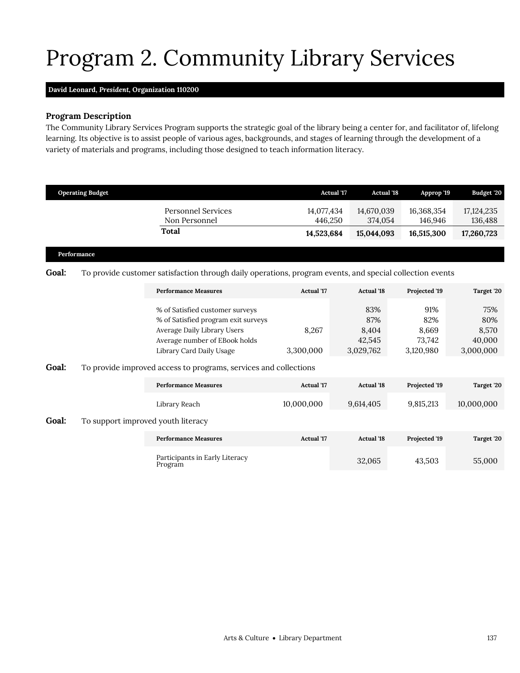# <span id="page-22-0"></span>Program 2. Community Library Services

## **David Leonard,** *President,* **Organization 110200**

# **Program Description**

The Community Library Services Program supports the strategic goal of the library being a center for, and facilitator of, lifelong learning. Its objective is to assist people of various ages, backgrounds, and stages of learning through the development of a variety of materials and programs, including those designed to teach information literacy.

|              | <b>Operating Budget</b>            |                                                                                                                                                                    |                                 | <b>Actual 17</b><br><b>Actual '18</b>      | Approp '19                                 | Budget '20                                 |
|--------------|------------------------------------|--------------------------------------------------------------------------------------------------------------------------------------------------------------------|---------------------------------|--------------------------------------------|--------------------------------------------|--------------------------------------------|
|              |                                    | <b>Personnel Services</b><br>Non Personnel                                                                                                                         | 14,077,434<br>446,250           | 14,670,039<br>374,054                      | 16,368,354<br>146,946                      | 17, 124, 235<br>136,488                    |
|              |                                    | <b>Total</b>                                                                                                                                                       | 14,523,684                      | 15,044,093                                 | 16,515,300                                 | 17,260,723                                 |
|              | Performance                        |                                                                                                                                                                    |                                 |                                            |                                            |                                            |
| <b>Goal:</b> |                                    | To provide customer satisfaction through daily operations, program events, and special collection events                                                           |                                 |                                            |                                            |                                            |
|              |                                    | <b>Performance Measures</b>                                                                                                                                        | Actual '17                      | <b>Actual '18</b>                          | Projected '19                              | Target '20                                 |
| Goal:        |                                    | % of Satisfied customer surveys<br>% of Satisfied program exit surveys<br>Average Daily Library Users<br>Average number of EBook holds<br>Library Card Daily Usage | 8,267<br>3,300,000              | 83%<br>87%<br>8,404<br>42,545<br>3,029,762 | 91%<br>82%<br>8,669<br>73,742<br>3,120,980 | 75%<br>80%<br>8,570<br>40,000<br>3,000,000 |
|              |                                    | To provide improved access to programs, services and collections                                                                                                   |                                 |                                            |                                            |                                            |
|              |                                    | <b>Performance Measures</b><br>Library Reach                                                                                                                       | <b>Actual</b> '17<br>10,000,000 | <b>Actual '18</b><br>9,614,405             | Projected '19<br>9,815,213                 | Target '20<br>10,000,000                   |
| Goal:        | To support improved youth literacy |                                                                                                                                                                    |                                 |                                            |                                            |                                            |
|              |                                    | <b>Performance Measures</b>                                                                                                                                        | <b>Actual</b> '17               | <b>Actual '18</b>                          | Projected '19                              | Target '20                                 |
|              |                                    | Participants in Early Literacy<br>Program                                                                                                                          |                                 | 32,065                                     | 43,503                                     | 55,000                                     |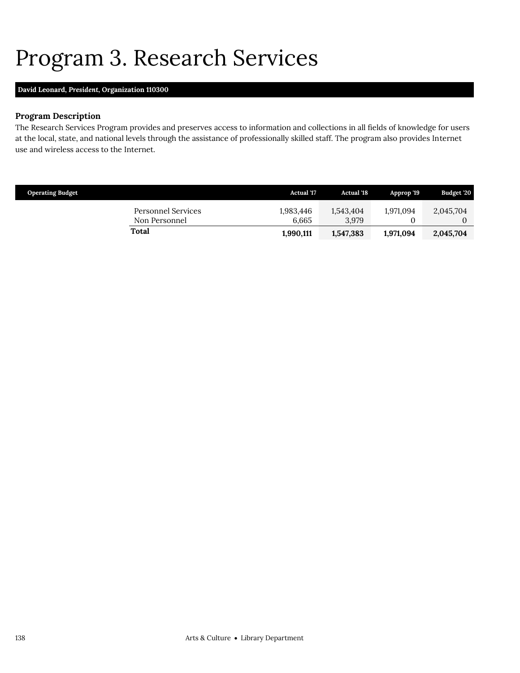# <span id="page-23-0"></span>Program 3. Research Services

# **David Leonard,** *President,* **Organization 110300**

# **Program Description**

The Research Services Program provides and preserves access to information and collections in all fields of knowledge for users at the local, state, and national levels through the assistance of professionally skilled staff. The program also provides Internet use and wireless access to the Internet.

| <b>Operating Budget</b>             | <b>Actual</b> '17  | <b>Actual</b> '18  | Approp '19 | Budget '20 |
|-------------------------------------|--------------------|--------------------|------------|------------|
| Personnel Services<br>Non Personnel | 1,983,446<br>6.665 | 1,543,404<br>3.979 | 1.971.094  | 2,045,704  |
| Total                               | 1,990,111          | 1,547,383          | 1,971,094  | 2,045,704  |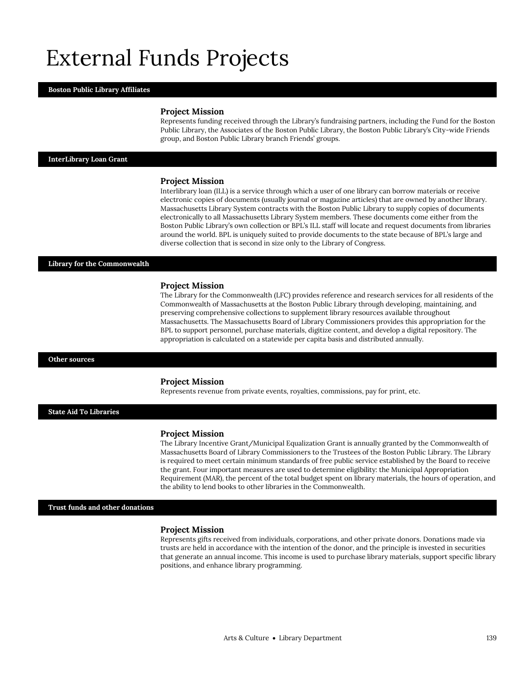# External Funds Projects

### **Boston Public Library Affiliates**

### **Project Mission**

Represents funding received through the Library's fundraising partners, including the Fund for the Boston Public Library, the Associates of the Boston Public Library, the Boston Public Library's City-wide Friends group, and Boston Public Library branch Friends' groups.

### **InterLibrary Loan Grant**

### **Project Mission**

Interlibrary loan (ILL) is a service through which a user of one library can borrow materials or receive electronic copies of documents (usually journal or magazine articles) that are owned by another library. Massachusetts Library System contracts with the Boston Public Library to supply copies of documents electronically to all Massachusetts Library System members. These documents come either from the Boston Public Library's own collection or BPL's ILL staff will locate and request documents from libraries around the world. BPL is uniquely suited to provide documents to the state because of BPL's large and diverse collection that is second in size only to the Library of Congress.

### **Library for the Commonwealth**

### **Project Mission**

The Library for the Commonwealth (LFC) provides reference and research services for all residents of the Commonwealth of Massachusetts at the Boston Public Library through developing, maintaining, and preserving comprehensive collections to supplement library resources available throughout Massachusetts. The Massachusetts Board of Library Commissioners provides this appropriation for the BPL to support personnel, purchase materials, digitize content, and develop a digital repository. The appropriation is calculated on a statewide per capita basis and distributed annually.

### **Other sources**

### **Project Mission**

Represents revenue from private events, royalties, commissions, pay for print, etc.

### **State Aid To Libraries**

### **Project Mission**

The Library Incentive Grant/Municipal Equalization Grant is annually granted by the Commonwealth of Massachusetts Board of Library Commissioners to the Trustees of the Boston Public Library. The Library is required to meet certain minimum standards of free public service established by the Board to receive the grant. Four important measures are used to determine eligibility: the Municipal Appropriation Requirement (MAR), the percent of the total budget spent on library materials, the hours of operation, and the ability to lend books to other libraries in the Commonwealth.

**Trust funds and other donations**

#### **Project Mission**

Represents gifts received from individuals, corporations, and other private donors. Donations made via trusts are held in accordance with the intention of the donor, and the principle is invested in securities that generate an annual income. This income is used to purchase library materials, support specific library positions, and enhance library programming.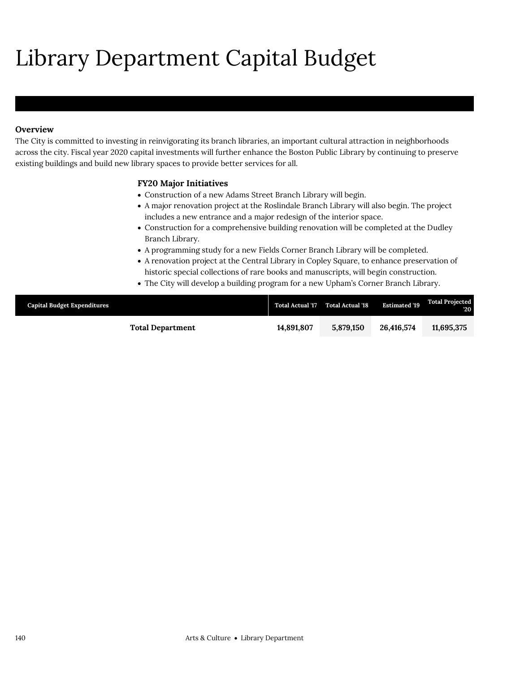# Library Department Capital Budget

# **Overview**

The City is committed to investing in reinvigorating its branch libraries, an important cultural attraction in neighborhoods across the city. Fiscal year 2020 capital investments will further enhance the Boston Public Library by continuing to preserve existing buildings and build new library spaces to provide better services for all.

## **FY20 Major Initiatives**

- Construction of a new Adams Street Branch Library will begin.
- A major renovation project at the Roslindale Branch Library will also begin. The project includes a new entrance and a major redesign of the interior space.
- Construction for a comprehensive building renovation will be completed at the Dudley Branch Library.
- A programming study for a new Fields Corner Branch Library will be completed.
- A renovation project at the Central Library in Copley Square, to enhance preservation of historic special collections of rare books and manuscripts, will begin construction.
- The City will develop a building program for a new Upham's Corner Branch Library.

| <b>Capital Budget Expenditures</b> |                         | <b>Total Actual '17</b> | <b>Total Actual '18</b> | <b>Estimated '19</b> | <b>Total Projected</b><br>$20^{\circ}$ |
|------------------------------------|-------------------------|-------------------------|-------------------------|----------------------|----------------------------------------|
|                                    | <b>Total Department</b> | 14.891.807              | 5.879.150               | 26,416,574           | 11.695.375                             |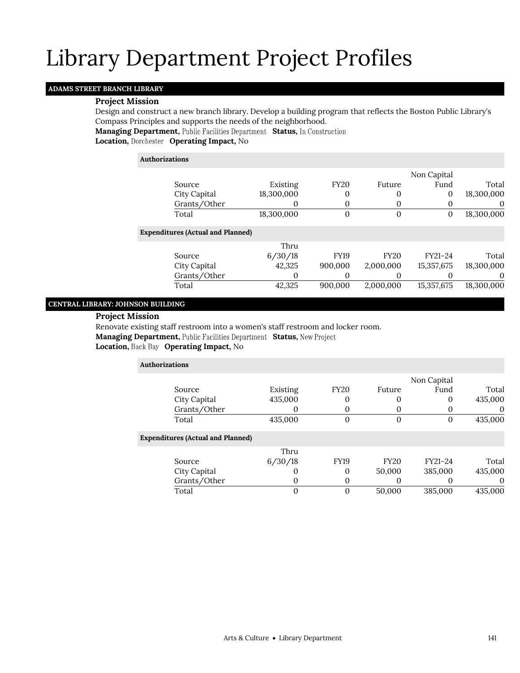## **ADAMS STREET BRANCH LIBRARY**

### **Project Mission**

Design and construct a new branch library. Develop a building program that reflects the Boston Public Library's Compass Principles and supports the needs of the neighborhood.

**Managing Department, Public Facilities Department Status, In Construction** 

**Location, Operating Impact,** No

# **Authorizations** Source Existing FY20 Future Non Capital Fund Total City Capital 18,300,000 0 0 0 18,300,000 Grants/Other 0 0 0 0 0 0 Total 18,300,000 0 0 0 18,300,000 **Expenditures (Actual and Planned)** Source Thru 6/30/18 FY19 FY20 FY21-24 Total City Capital 42,325 900,000 2,000,000 15,357,675 18,300,000 Grants/Other 0 0 0 0 0 0 Total 42,325 900,000 2,000,000 15,357,675 18,300,000

# **CENTRAL LIBRARY: JOHNSON BUILDING**

## **Project Mission**

Renovate existing staff restroom into a women's staff restroom and locker room.

**Managing Department, Public Facilities Department Status, New Project** 

# **Location, Operating Impact,** No

| <b>Authorizations</b>                    |          |                |                  |                   |          |
|------------------------------------------|----------|----------------|------------------|-------------------|----------|
|                                          |          |                |                  | Non Capital       |          |
| Source                                   | Existing | <b>FY20</b>    | Future           | Fund              | Total    |
| City Capital                             | 435,000  | 0              | $\left( \right)$ | 0                 | 435,000  |
| Grants/Other                             |          | O              | O                |                   | $\Omega$ |
| Total                                    | 435,000  | $\overline{0}$ | 0                | 0                 | 435,000  |
| <b>Expenditures (Actual and Planned)</b> |          |                |                  |                   |          |
|                                          | Thru     |                |                  |                   |          |
| Source                                   | 6/30/18  | <b>FY19</b>    | <b>FY20</b>      | FY21-24           | Total    |
| City Capital                             | 0        | 0              | 50,000           | 385,000           | 435,000  |
| Grants/Other                             | 0        | 0              | $\theta$         | $\mathbf{\Omega}$ | $\theta$ |
| Total                                    | $\Omega$ | $\overline{0}$ | 50,000           | 385,000           | 435,000  |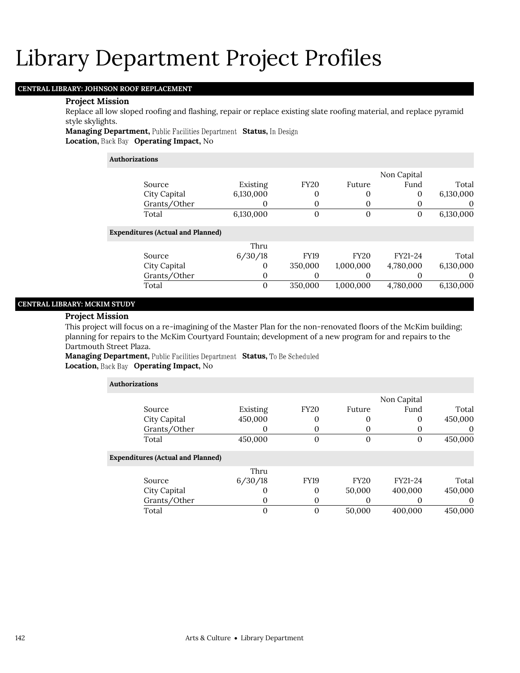## **CENTRAL LIBRARY: JOHNSON ROOF REPLACEMENT**

### **Project Mission**

Replace all low sloped roofing and flashing, repair or replace existing slate roofing material, and replace pyramid style skylights.

**Managing Department, Public Facilities Department Status, In Design Location, Back Bay Operating Impact, No** 

# **Authorizations**

|           | Non Capital |             |              |           |                                          |  |
|-----------|-------------|-------------|--------------|-----------|------------------------------------------|--|
| Total     | Fund        | Future      | <b>FY20</b>  | Existing  | Source                                   |  |
| 6,130,000 | 0           | 0           | 0            | 6,130,000 | City Capital                             |  |
| $\theta$  | 0           | $\Omega$    | 0            | 0         | Grants/Other                             |  |
| 6,130,000 | 0           | $\theta$    | $\mathbf{0}$ | 6,130,000 | Total                                    |  |
|           |             |             |              |           | <b>Expenditures (Actual and Planned)</b> |  |
|           |             |             |              | Thru      |                                          |  |
| Total     | FY21-24     | <b>FY20</b> | <b>FY19</b>  | 6/30/18   | Source                                   |  |
| 6,130,000 | 4,780,000   | 1,000,000   | 350,000      | $\Omega$  | City Capital                             |  |
| 0         |             | 0           | 0            | 0         | Grants/Other                             |  |
| 6,130,000 | 4,780,000   | 1,000,000   | 350,000      | 0         | Total                                    |  |

## **CENTRAL LIBRARY: MCKIM STUDY**

### **Project Mission**

This project will focus on a re-imagining of the Master Plan for the non-renovated floors of the McKim building; planning for repairs to the McKim Courtyard Fountain; development of a new program for and repairs to the Dartmouth Street Plaza.

**Managing Department,** Public Facilities Department Status, To Be Scheduled **Location, Back Bay Operating Impact, No** 

| <b>Authorizations</b>                    |          |                |                |             |          |
|------------------------------------------|----------|----------------|----------------|-------------|----------|
|                                          |          |                |                | Non Capital |          |
| Source                                   | Existing | <b>FY20</b>    | Future         | Fund        | Total    |
| City Capital                             | 450,000  | 0              |                | 0           | 450,000  |
| Grants/Other                             | O        | 0              | $\theta$       |             | $\theta$ |
| Total                                    | 450,000  | $\overline{0}$ | $\overline{0}$ | $\Omega$    | 450,000  |
| <b>Expenditures (Actual and Planned)</b> |          |                |                |             |          |
|                                          | Thru     |                |                |             |          |
| Source                                   | 6/30/18  | <b>FY19</b>    | <b>FY20</b>    | FY21-24     | Total    |
| City Capital                             | O        | 0              | 50,000         | 400,000     | 450,000  |
| Grants/Other                             | O        | 0              |                |             | 0        |
| Total                                    | 0        | $\overline{0}$ | 50,000         | 400,000     | 450,000  |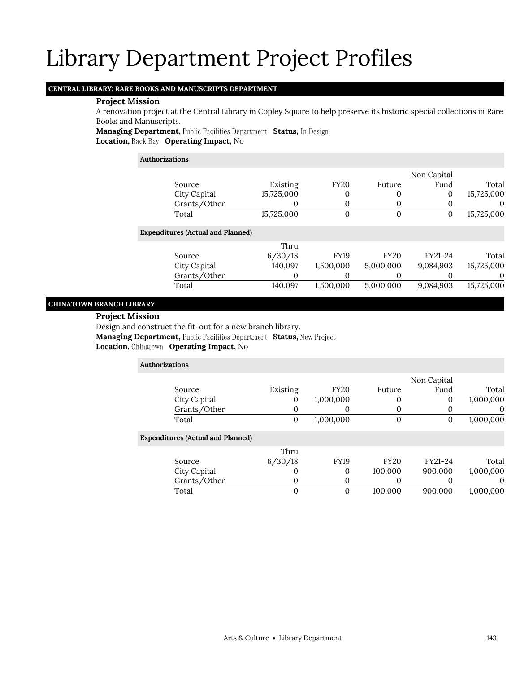# **CENTRAL LIBRARY: RARE BOOKS AND MANUSCRIPTS DEPARTMENT**

### **Project Mission**

A renovation project at the Central Library in Copley Square to help preserve its historic special collections in Rare Books and Manuscripts.

**Managing Department, Public Facilities Department Status, In Design Location, Back Bay Operating Impact, No** 

### **Authorizations**

|       |                                          |            |                |             | Non Capital |            |
|-------|------------------------------------------|------------|----------------|-------------|-------------|------------|
|       | Source                                   | Existing   | <b>FY20</b>    | Future      | Fund        | Total      |
|       | City Capital                             | 15,725,000 | 0              | 0           | 0           | 15,725,000 |
|       | Grants/Other                             | 0          | 0              | 0           | $\theta$    | $\Omega$   |
| Total |                                          | 15,725,000 | $\overline{0}$ | 0           | 0           | 15,725,000 |
|       | <b>Expenditures (Actual and Planned)</b> |            |                |             |             |            |
|       |                                          | Thru       |                |             |             |            |
|       | Source                                   | 6/30/18    | <b>FY19</b>    | <b>FY20</b> | FY21-24     | Total      |
|       | City Capital                             | 140,097    | 1,500,000      | 5,000,000   | 9,084,903   | 15,725,000 |
|       | Grants/Other                             | 0          | 0              | $\Omega$    |             | $\Omega$   |
| Total |                                          | 140,097    | 1,500,000      | 5,000,000   | 9,084,903   | 15,725,000 |

# **CHINATOWN BRANCH LIBRARY**

### **Project Mission**

Design and construct the fit-out for a new branch library.

**Managing Department, Public Facilities Department Status, New Project** 

### **Location, Operating Impact,** No

| <b>Authorizations</b>                    |          |                |                |                  |           |
|------------------------------------------|----------|----------------|----------------|------------------|-----------|
|                                          |          |                |                | Non Capital      |           |
| Source                                   | Existing | <b>FY20</b>    | Future         | Fund             | Total     |
| City Capital                             | 0        | 1,000,000      | 0              | 0                | 1,000,000 |
| Grants/Other                             | $\Omega$ | O              | $\Omega$       |                  | $\Omega$  |
| Total                                    | 0        | 1,000,000      | $\overline{0}$ | $\theta$         | 1,000,000 |
| <b>Expenditures (Actual and Planned)</b> |          |                |                |                  |           |
|                                          | Thru     |                |                |                  |           |
| Source                                   | 6/30/18  | <b>FY19</b>    | <b>FY20</b>    | FY21-24          | Total     |
| City Capital                             | $\Omega$ | 0              | 100,000        | 900,000          | 1,000,000 |
| Grants/Other                             | 0        | 0              | $\Omega$       | $\left( \right)$ | $\theta$  |
| Total                                    | $\Omega$ | $\overline{0}$ | 100,000        | 900.000          | 1,000,000 |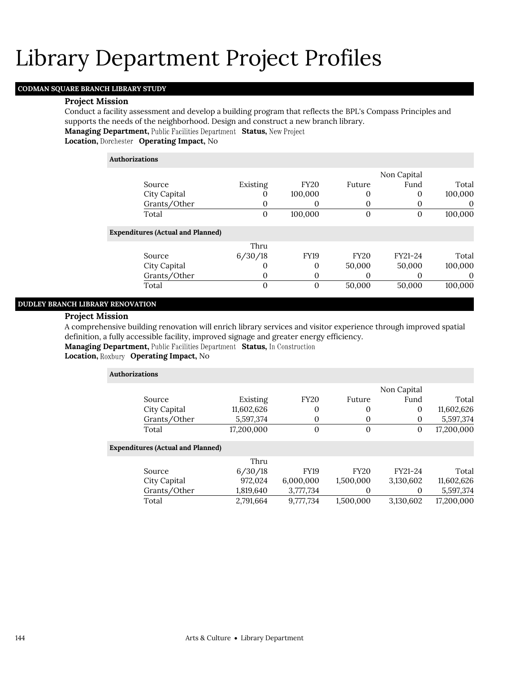# **CODMAN SQUARE BRANCH LIBRARY STUDY**

### **Project Mission**

Conduct a facility assessment and develop a building program that reflects the BPL's Compass Principles and supports the needs of the neighborhood. Design and construct a new branch library.

**Managing Department, Public Facilities Department Status, New Project** 

**Location, Operating Impact,** No

# **Authorizations** Source Existing FY20 Future Non Capital Fund Total City Capital **0** 100,000 0 0 100,000 Grants/Other 0 0 0 0 0 0 Total 0 100,000 0 0 100,000 **Expenditures (Actual and Planned)** Source Thru 6/30/18 FY19 FY20 FY21-24 Total City Capital 0 0 50,000 50,000 100,000 Grants/Other 0 0 0 0 0 0 Total 0 0 50,000 50,000 100,000

# **DUDLEY BRANCH LIBRARY RENOVATION**

### **Project Mission**

A comprehensive building renovation will enrich library services and visitor experience through improved spatial definition, a fully accessible facility, improved signage and greater energy efficiency.

**Managing Department, Public Facilities Department Status, In Construction** 

**Location, Roxbury Operating Impact, No** 

| Authorizations |            |             |        |             |            |
|----------------|------------|-------------|--------|-------------|------------|
|                |            |             |        | Non Capital |            |
| Source         | Existing   | <b>FY20</b> | Future | Fund        | Total      |
| City Capital   | 11,602,626 |             |        |             | 11,602,626 |
| Grants/Other   | 5,597,374  |             |        |             | 5,597,374  |
| Total          | 17,200,000 |             |        |             | 17,200,000 |

### **Expenditures (Actual and Planned)**

|              | Thru      |             |             |           |            |
|--------------|-----------|-------------|-------------|-----------|------------|
| Source       | 6/30/18   | <b>FY19</b> | <b>FY20</b> | FY21-24   | Total      |
| City Capital | 972.024   | 6.000.000   | 1,500,000   | 3.130.602 | 11,602,626 |
| Grants/Other | 1,819,640 | 3.777.734   |             |           | 5.597.374  |
| Total        | 2,791,664 | 9.777.734   | 1,500,000   | 3,130,602 | 17.200.000 |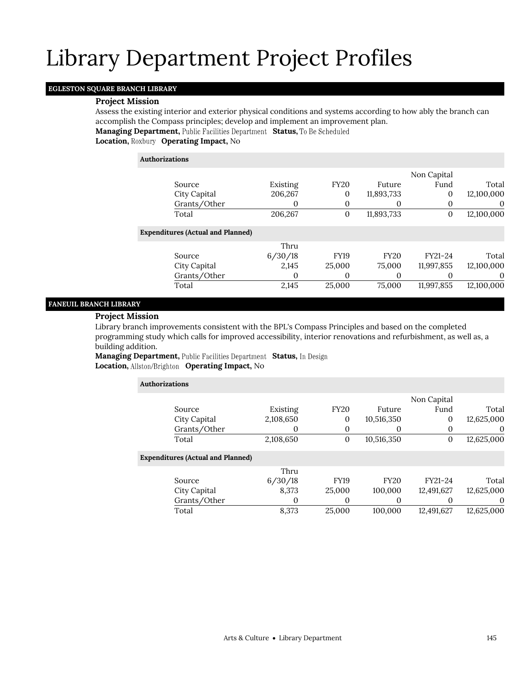## **EGLESTON SQUARE BRANCH LIBRARY**

### **Project Mission**

Assess the existing interior and exterior physical conditions and systems according to how ably the branch can accomplish the Compass principles; develop and implement an improvement plan.

**Managing Department, Public Facilities Department Status, To Be Scheduled** 

**Location, Operating Impact,** No

| <b>Authorizations</b>                    |          |                  |             |             |            |
|------------------------------------------|----------|------------------|-------------|-------------|------------|
|                                          |          |                  |             | Non Capital |            |
| Source                                   | Existing | <b>FY20</b>      | Future      | Fund        | Total      |
| City Capital                             | 206,267  | 0                | 11,893,733  | 0           | 12,100,000 |
| Grants/Other                             | 0        | 0                | 0           | $\Omega$    | O          |
| Total                                    | 206,267  | $\boldsymbol{0}$ | 11,893,733  | $\theta$    | 12,100,000 |
| <b>Expenditures (Actual and Planned)</b> |          |                  |             |             |            |
|                                          | Thru     |                  |             |             |            |
| Source                                   | 6/30/18  | <b>FY19</b>      | <b>FY20</b> | FY21-24     | Total      |
| City Capital                             | 2,145    | 25,000           | 75,000      | 11,997,855  | 12,100,000 |
| Grants/Other                             | $_{0}$   | 0                | $\Omega$    |             | $\theta$   |
| Total                                    | 2,145    | 25,000           | 75,000      | 11,997,855  | 12,100,000 |

# **FANEUIL BRANCH LIBRARY**

## **Project Mission**

Library branch improvements consistent with the BPL's Compass Principles and based on the completed programming study which calls for improved accessibility, interior renovations and refurbishment, as well as, a building addition.

**Managing Department, Public Facilities Department Status, In Design Location, Operating Impact,** No

| Authorizations |                                          |           |                  |             |              |            |
|----------------|------------------------------------------|-----------|------------------|-------------|--------------|------------|
|                |                                          |           |                  |             | Non Capital  |            |
|                | Source                                   | Existing  | <b>FY20</b>      | Future      | Fund         | Total      |
|                | City Capital                             | 2,108,650 | $\overline{0}$   | 10,516,350  | 0            | 12,625,000 |
|                | Grants/Other                             | 0         | 0                | 0           |              | 0          |
|                | Total                                    | 2,108,650 | $\boldsymbol{0}$ | 10,516,350  | $\mathbf{0}$ | 12,625,000 |
|                | <b>Expenditures (Actual and Planned)</b> |           |                  |             |              |            |
|                |                                          | Thru      |                  |             |              |            |
|                | Source                                   | 6/30/18   | <b>FY19</b>      | <b>FY20</b> | FY21-24      | Total      |
|                | City Capital                             | 8,373     | 25,000           | 100,000     | 12,491,627   | 12,625,000 |
|                | Grants/Other                             | 0         | 0                | 0           |              | 0          |
|                | Total                                    | 8,373     | 25,000           | 100,000     | 12,491,627   | 12,625,000 |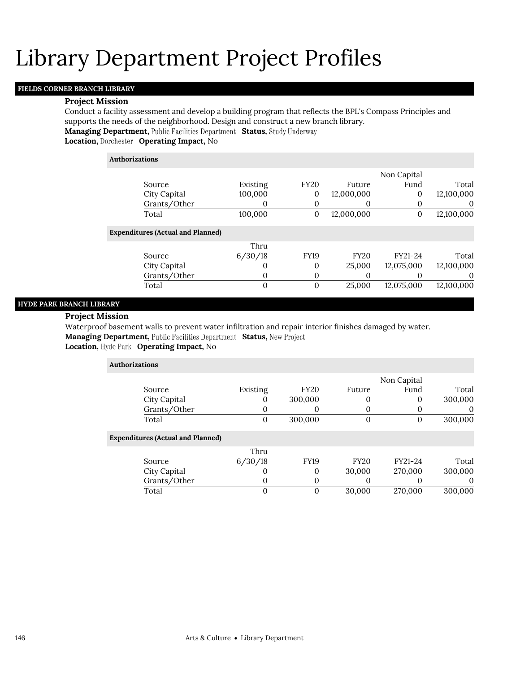# **FIELDS CORNER BRANCH LIBRARY**

### **Project Mission**

Conduct a facility assessment and develop a building program that reflects the BPL's Compass Principles and supports the needs of the neighborhood. Design and construct a new branch library.

**Managing Department, Public Facilities Department Status, Study Underway** 

**Location, Operating Impact,** No

| <b>Authorizations</b>                    |          |                  |             |             |            |
|------------------------------------------|----------|------------------|-------------|-------------|------------|
|                                          |          |                  |             | Non Capital |            |
| Source                                   | Existing | <b>FY20</b>      | Future      | Fund        | Total      |
| City Capital                             | 100,000  | $\boldsymbol{0}$ | 12,000,000  | 0           | 12,100,000 |
| Grants/Other                             | 0        | 0                | 0           | $\Omega$    | $\theta$   |
| Total                                    | 100,000  | $\boldsymbol{0}$ | 12,000,000  | $\theta$    | 12,100,000 |
| <b>Expenditures (Actual and Planned)</b> |          |                  |             |             |            |
|                                          | Thru     |                  |             |             |            |
| Source                                   | 6/30/18  | <b>FY19</b>      | <b>FY20</b> | FY21-24     | Total      |
| City Capital                             | $\Omega$ | 0                | 25,000      | 12,075,000  | 12,100,000 |
| Grants/Other                             | 0        | 0                | 0           |             | $\theta$   |
| Total                                    | $\Omega$ | $\overline{0}$   | 25,000      | 12,075,000  | 12,100,000 |

# **HYDE PARK BRANCH LIBRARY**

### **Project Mission**

Waterproof basement walls to prevent water infiltration and repair interior finishes damaged by water. **Managing Department, Public Facilities Department Status, New Project Location, Hyde Park Operating Impact, No** 

| <b>Authorizations</b>                    |          |             |             |             |          |
|------------------------------------------|----------|-------------|-------------|-------------|----------|
|                                          |          |             |             | Non Capital |          |
| Source                                   | Existing | <b>FY20</b> | Future      | Fund        | Total    |
| City Capital                             | O        | 300,000     | O           | $\Omega$    | 300,000  |
| Grants/Other                             | 0        | $\theta$    |             | $\Omega$    | $\theta$ |
| Total                                    | 0        | 300,000     | 0           | 0           | 300,000  |
| <b>Expenditures (Actual and Planned)</b> |          |             |             |             |          |
|                                          | Thru     |             |             |             |          |
| Source                                   | 6/30/18  | FY19        | <b>FY20</b> | FY21-24     | Total    |
| City Capital                             | O        | $\Omega$    | 30,000      | 270,000     | 300,000  |
| Grants/Other                             | 0        | 0           |             | $\Omega$    | $\theta$ |
| Total                                    | 0        | 0           | 30,000      | 270,000     | 300,000  |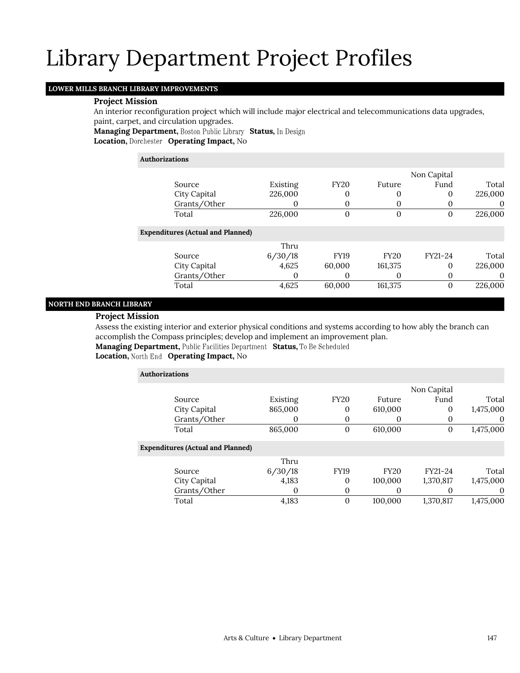## **LOWER MILLS BRANCH LIBRARY IMPROVEMENTS**

### **Project Mission**

An interior reconfiguration project which will include major electrical and telecommunications data upgrades, paint, carpet, and circulation upgrades.

**Managing Department, Boston Public Library Status, In Design Location, Operating Impact,** No

### **Authorizations**

|                                          |          |             |                  | Non Capital |          |
|------------------------------------------|----------|-------------|------------------|-------------|----------|
| Source                                   | Existing | <b>FY20</b> | Future           | Fund        | Total    |
| City Capital                             | 226,000  | 0           | 0                | 0           | 226,000  |
| Grants/Other                             |          | 0           | 0                | $\theta$    | $\theta$ |
| Total                                    | 226,000  | 0           | 0                | 0           | 226,000  |
| <b>Expenditures (Actual and Planned)</b> |          |             |                  |             |          |
|                                          | Thru     |             |                  |             |          |
| Source                                   | 6/30/18  | <b>FY19</b> | <b>FY20</b>      | FY21-24     | Total    |
| City Capital                             | 4,625    | 60,000      | 161,375          | 0           | 226,000  |
| Grants/Other                             | $\theta$ | 0           | $\left( \right)$ | 0           | $\theta$ |
| Total                                    | 4,625    | 60,000      | 161,375          | $\Omega$    | 226,000  |
|                                          |          |             |                  |             |          |

# **NORTH END BRANCH LIBRARY**

## **Project Mission**

Assess the existing interior and exterior physical conditions and systems according to how ably the branch can accomplish the Compass principles; develop and implement an improvement plan.

**Managing Department, Public Facilities Department Status, To Be Scheduled** 

# Location, North End Operating Impact, No

| <b>Authorizations</b>                    |          |                  |             |             |           |
|------------------------------------------|----------|------------------|-------------|-------------|-----------|
|                                          |          |                  |             | Non Capital |           |
| Source                                   | Existing | <b>FY20</b>      | Future      | Fund        | Total     |
| City Capital                             | 865,000  | 0                | 610,000     | 0           | 1,475,000 |
| Grants/Other                             | O        | 0                | 0           | 0           | $\theta$  |
| Total                                    | 865,000  | $\boldsymbol{0}$ | 610,000     | 0           | 1,475,000 |
| <b>Expenditures (Actual and Planned)</b> |          |                  |             |             |           |
|                                          | Thru     |                  |             |             |           |
| Source                                   | 6/30/18  | <b>FY19</b>      | <b>FY20</b> | FY21-24     | Total     |
| City Capital                             | 4,183    | 0                | 100,000     | 1,370,817   | 1,475,000 |
| Grants/Other                             | 0        | 0                | 0           | O           | 0         |
| Total                                    | 4,183    | $\overline{0}$   | 100,000     | 1,370,817   | 1,475,000 |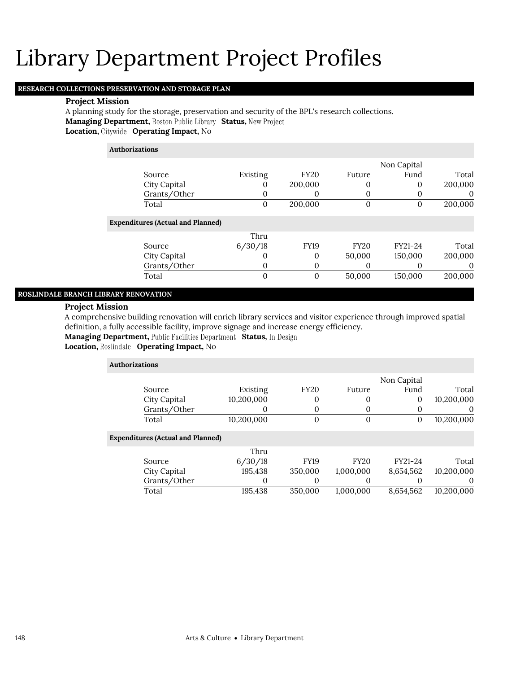## **RESEARCH COLLECTIONS PRESERVATION AND STORAGE PLAN**

## **Project Mission**

A planning study for the storage, preservation and security of the BPL's research collections. **Managing Department, Boston Public Library Status, New Project Location, Operating Impact,** No

## **Authorizations**

|              |          |             |        | Non Capital |         |
|--------------|----------|-------------|--------|-------------|---------|
| Source       | Existing | <b>FY20</b> | Future | Fund        | Total   |
| City Capital |          | 200,000     |        |             | 200,000 |
| Grants/Other |          |             |        |             |         |
| Total        |          | 200,000     |        |             | 200,000 |

### **Expenditures (Actual and Planned)**

|              | Thru    |             |             |         |         |
|--------------|---------|-------------|-------------|---------|---------|
| Source       | 6/30/18 | <b>FY19</b> | <b>FY20</b> | FY21-24 | Total   |
| City Capital |         |             | 50,000      | 150,000 | 200,000 |
| Grants/Other |         |             |             |         |         |
| Total        |         |             | 50,000      | 150,000 | 200,000 |

## **ROSLINDALE BRANCH LIBRARY RENOVATION**

### **Project Mission**

A comprehensive building renovation will enrich library services and visitor experience through improved spatial definition, a fully accessible facility, improve signage and increase energy efficiency.

**Managing Department, Public Facilities Department Status, In Design** 

## **Location, Roslindale Operating Impact, No**

| <b>Authorizations</b> |                                          |            |             |                |             |            |  |
|-----------------------|------------------------------------------|------------|-------------|----------------|-------------|------------|--|
|                       |                                          |            |             |                | Non Capital |            |  |
|                       | Source                                   | Existing   | <b>FY20</b> | Future         | Fund        | Total      |  |
|                       | City Capital                             | 10,200,000 | 0           | 0              | 0           | 10,200,000 |  |
|                       | Grants/Other                             | 0          | 0           | 0              | $\theta$    | $\theta$   |  |
|                       | Total                                    | 10,200,000 | 0           | $\overline{0}$ | 0           | 10,200,000 |  |
|                       | <b>Expenditures (Actual and Planned)</b> |            |             |                |             |            |  |
|                       |                                          | Thru       |             |                |             |            |  |
|                       | Source                                   | 6/30/18    | <b>FY19</b> | <b>FY20</b>    | FY21-24     | Total      |  |
|                       | City Capital                             | 195.438    | 350,000     | 1,000,000      | 8,654,562   | 10,200,000 |  |
|                       | Grants/Other                             | $\Omega$   | 0           | $\Omega$       |             | $\Omega$   |  |
|                       | Total                                    | 195,438    | 350,000     | 1,000,000      | 8,654,562   | 10,200,000 |  |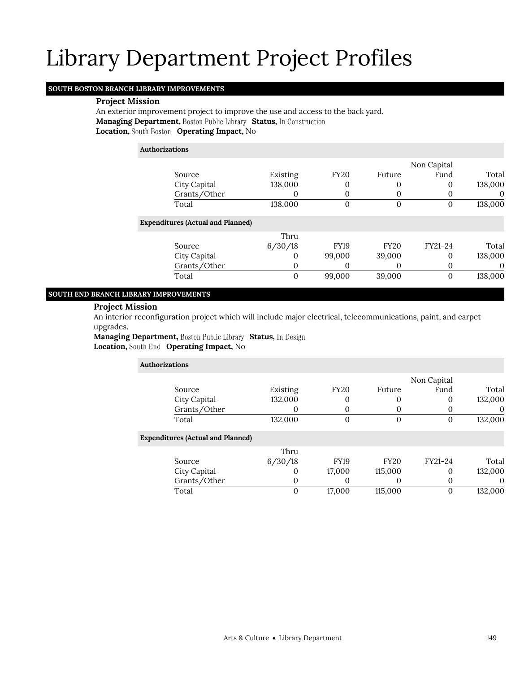### **SOUTH BOSTON BRANCH LIBRARY IMPROVEMENTS**

### **Project Mission**

An exterior improvement project to improve the use and access to the back yard. **Managing Department, Boston Public Library Status, In Construction Location, Operating Impact,** No

# **Authorizations**

|                                          |          |             |             | Non Capital |          |
|------------------------------------------|----------|-------------|-------------|-------------|----------|
| Source                                   | Existing | <b>FY20</b> | Future      | Fund        | Total    |
| City Capital                             | 138,000  | 0           | 0           |             | 138,000  |
| Grants/Other                             |          | 0           | O           | O           | $\theta$ |
| Total                                    | 138,000  | 0           | 0           | 0           | 138,000  |
| <b>Expenditures (Actual and Planned)</b> |          |             |             |             |          |
|                                          | Thru     |             |             |             |          |
| Source                                   | 6/30/18  | <b>FY19</b> | <b>FY20</b> | FY21-24     | Total    |
| City Capital                             | $\theta$ | 99,000      | 39,000      | 0           | 138,000  |
| Grants/Other                             | $\Omega$ | 0           | O           |             |          |
| Total                                    | $\Omega$ | 99,000      | 39,000      |             | 138,000  |

## **SOUTH END BRANCH LIBRARY IMPROVEMENTS**

### **Project Mission**

An interior reconfiguration project which will include major electrical, telecommunications, paint, and carpet upgrades.

**Managing Department, Boston Public Library Status, In Design Location, Operating Impact,** No

| <b>Authorizations</b>                    |          |             |              |             |          |
|------------------------------------------|----------|-------------|--------------|-------------|----------|
|                                          |          |             |              | Non Capital |          |
| Source                                   | Existing | <b>FY20</b> | Future       | Fund        | Total    |
| City Capital                             | 132,000  | 0           | 0            | 0           | 132,000  |
| Grants/Other                             |          | 0           | 0            | 0           | 0        |
| Total                                    | 132,000  | 0           | $\mathbf{0}$ | 0           | 132,000  |
| <b>Expenditures (Actual and Planned)</b> |          |             |              |             |          |
|                                          | Thru     |             |              |             |          |
| Source                                   | 6/30/18  | <b>FY19</b> | <b>FY20</b>  | FY21-24     | Total    |
| City Capital                             | 0        | 17,000      | 115,000      | 0           | 132,000  |
| Grants/Other                             | 0        | 0           | 0            | $\theta$    | $\theta$ |
| Total                                    | 0        | 17,000      | 115,000      | 0           | 132,000  |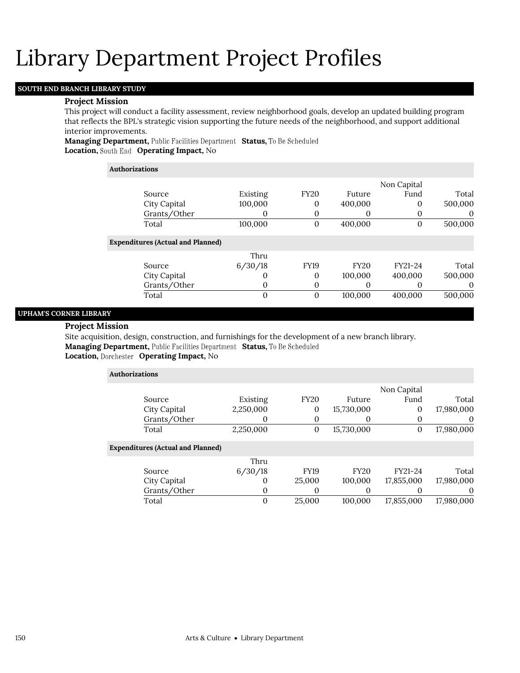## **SOUTH END BRANCH LIBRARY STUDY**

### **Project Mission**

This project will conduct a facility assessment, review neighborhood goals, develop an updated building program that reflects the BPL's strategic vision supporting the future needs of the neighborhood, and support additional interior improvements.

**Managing Department, Public Facilities Department Status, To Be Scheduled Location, Operating Impact,** No

### **Authorizations**

|                                          |                   |                |             | Non Capital |          |
|------------------------------------------|-------------------|----------------|-------------|-------------|----------|
| Source                                   | Existing          | <b>FY20</b>    | Future      | Fund        | Total    |
| City Capital                             | 100,000           | 0              | 400,000     | 0           | 500,000  |
| Grants/Other                             |                   | 0              | $\theta$    | $\Omega$    | $\theta$ |
| Total                                    | 100,000           | $\overline{0}$ | 400,000     | $\Omega$    | 500,000  |
| <b>Expenditures (Actual and Planned)</b> |                   |                |             |             |          |
|                                          | Thru              |                |             |             |          |
| Source                                   | 6/30/18           | <b>FY19</b>    | <b>FY20</b> | FY21-24     | Total    |
| City Capital                             | $\mathbf{\Omega}$ | 0              | 100,000     | 400.000     | 500,000  |
| Grants/Other                             | $\mathbf{\Omega}$ | 0              | $\Omega$    |             | $\theta$ |
| Total                                    | $\Omega$          | 0              | 100,000     | 400,000     | 500,000  |
|                                          |                   |                |             |             |          |

# **UPHAM'S CORNER LIBRARY**

## **Project Mission**

Site acquisition, design, construction, and furnishings for the development of a new branch library. **Managing Department, Public Facilities Department Status, To Be Scheduled Location, Operating Impact,** No

| <b>Authorizations</b>                    |           |             |             |              |            |  |  |  |
|------------------------------------------|-----------|-------------|-------------|--------------|------------|--|--|--|
|                                          |           |             |             | Non Capital  |            |  |  |  |
| Source                                   | Existing  | <b>FY20</b> | Future      | Fund         | Total      |  |  |  |
| City Capital                             | 2,250,000 | 0           | 15,730,000  | 0            | 17,980,000 |  |  |  |
| Grants/Other                             | 0         | $\theta$    | $\theta$    | 0            | 0          |  |  |  |
| Total                                    | 2,250,000 | $\theta$    | 15,730,000  | $\mathbf{0}$ | 17,980,000 |  |  |  |
| <b>Expenditures (Actual and Planned)</b> |           |             |             |              |            |  |  |  |
|                                          | Thru      |             |             |              |            |  |  |  |
| Source                                   | 6/30/18   | <b>FY19</b> | <b>FY20</b> | FY21-24      | Total      |  |  |  |
| City Capital                             | 0         | 25,000      | 100,000     | 17,855,000   | 17,980,000 |  |  |  |

Grants/Other 0 0 0 0 0 0 Total 0 25,000 100,000 17,855,000 17,980,000